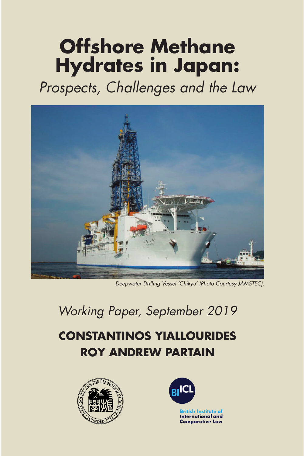# **Offshore Methane Hydrates in Japan:**

Prospects, Challenges and the Law



Deepwater Drilling Vessel 'Chikyu' (Photo Courtesy JAMSTEC).

# Working Paper, September 2019

## **CONSTANTINOS YIALLOURIDES ROY ANDREW PARTAIN**



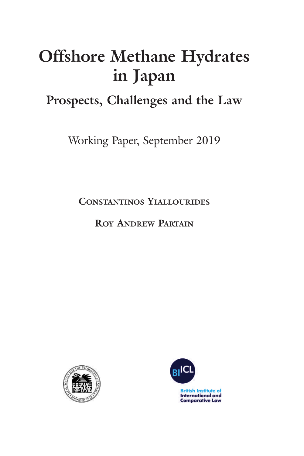# **Offshore Methane Hydrates in Japan**

### **Prospects, Challenges and the Law**

Working Paper, September 2019

**CONSTANTINOS YIALLOURIDES**

**ROY ANDREW PARTAIN**



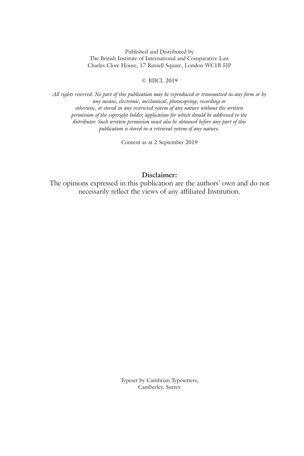Published and Distributed by The British Institute of International and Comparative Law Charles Clore House, 17 Russell Square, London WC1B 5JP

#### © BIICL 2019

All rights reserved. No part of this publication may be reproduced or transmitted in any form or by *any means, electronic, mechanical, photocopying, recording or otherwise, or stored in any restricted system of any nature without the written permission of the copyright holder, application for which should be addressed to the distributor. Such written permission must also be obtained before any part of this publication is stored in a retrieval system of any nature.*

Content as at 2 September 2019

### **Disclaimer:**

The opinions expressed in this publication are the authors' own and do not necessarily reflect the views of any affiliated Institution.

> Typeset by Cambrian Typesetters, Camberley, Surrey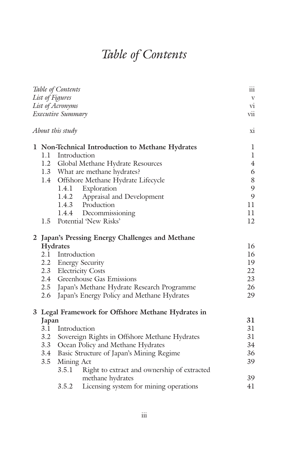# *Table of Contents*

|                   |                                                    | Table of Contents                                 | $\overline{111}$          |  |  |  |  |
|-------------------|----------------------------------------------------|---------------------------------------------------|---------------------------|--|--|--|--|
|                   |                                                    | List of Figures                                   | $\ensuremath{\mathbf{V}}$ |  |  |  |  |
| List of Acronyms  |                                                    |                                                   |                           |  |  |  |  |
| Executive Summary |                                                    |                                                   |                           |  |  |  |  |
|                   |                                                    | About this study                                  | X1                        |  |  |  |  |
|                   |                                                    | 1 Non-Technical Introduction to Methane Hydrates  | $\mathbf l$               |  |  |  |  |
|                   |                                                    | 1.1 Introduction                                  | $\mathbf{1}$              |  |  |  |  |
|                   |                                                    | 1.2 Global Methane Hydrate Resources              | $\overline{4}$            |  |  |  |  |
|                   |                                                    | 1.3 What are methane hydrates?                    | 6                         |  |  |  |  |
|                   |                                                    | 1.4 Offshore Methane Hydrate Lifecycle            | 8                         |  |  |  |  |
|                   |                                                    | 1.4.1 Exploration                                 | 9                         |  |  |  |  |
|                   |                                                    | 1.4.2 Appraisal and Development                   | 9                         |  |  |  |  |
|                   |                                                    | 1.4.3 Production                                  | 11                        |  |  |  |  |
|                   |                                                    | 1.4.4 Decommissioning                             | 11                        |  |  |  |  |
|                   |                                                    | 1.5 Potential 'New Risks'                         | 12                        |  |  |  |  |
|                   | 2 Japan's Pressing Energy Challenges and Methane   |                                                   |                           |  |  |  |  |
|                   | Hydrates                                           |                                                   |                           |  |  |  |  |
|                   |                                                    | 2.1 Introduction                                  | 16                        |  |  |  |  |
|                   |                                                    | 2.2 Energy Security                               |                           |  |  |  |  |
|                   |                                                    | 2.3 Electricity Costs                             | 22                        |  |  |  |  |
|                   |                                                    | 2.4 Greenhouse Gas Emissions                      |                           |  |  |  |  |
|                   |                                                    | 2.5 Japan's Methane Hydrate Research Programme    | 26                        |  |  |  |  |
|                   |                                                    | 2.6 Japan's Energy Policy and Methane Hydrates    | 29                        |  |  |  |  |
|                   | 3 Legal Framework for Offshore Methane Hydrates in |                                                   |                           |  |  |  |  |
|                   | Japan                                              |                                                   | 31                        |  |  |  |  |
|                   |                                                    | 3.1 Introduction                                  | 31                        |  |  |  |  |
|                   |                                                    | 3.2 Sovereign Rights in Offshore Methane Hydrates | 31                        |  |  |  |  |
|                   |                                                    | 3.3 Ocean Policy and Methane Hydrates             |                           |  |  |  |  |
|                   |                                                    | 3.4 Basic Structure of Japan's Mining Regime      | 34<br>36                  |  |  |  |  |
|                   | 3.5                                                | Mining Act                                        |                           |  |  |  |  |
|                   |                                                    | 3.5.1 Right to extract and ownership of extracted | 39                        |  |  |  |  |
|                   |                                                    | methane hydrates                                  | 39                        |  |  |  |  |
|                   |                                                    | 3.5.2<br>Licensing system for mining operations   | 41                        |  |  |  |  |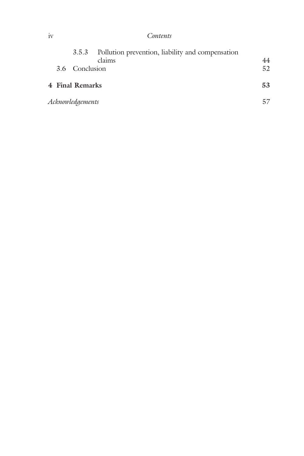### iv *Contents*

|                  |  |                 | 3.5.3 Pollution prevention, liability and compensation |    |  |
|------------------|--|-----------------|--------------------------------------------------------|----|--|
|                  |  |                 | claims                                                 | 44 |  |
|                  |  | 3.6 Conclusion  |                                                        | 52 |  |
|                  |  | 4 Final Remarks |                                                        | 53 |  |
| Acknowledgements |  |                 |                                                        |    |  |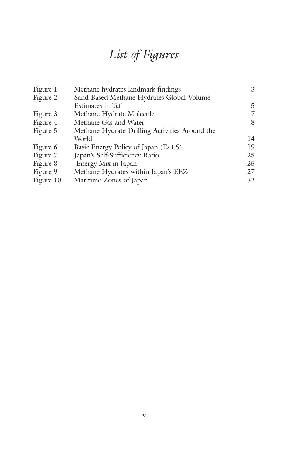## *List of Figures*

| Figure 1  | Methane hydrates landmark findings             | 3  |
|-----------|------------------------------------------------|----|
| Figure 2  | Sand-Based Methane Hydrates Global Volume      |    |
|           | Estimates in Tcf                               | 5  |
| Figure 3  | Methane Hydrate Molecule                       | 7  |
| Figure 4  | Methane Gas and Water                          | 8  |
| Figure 5  | Methane Hydrate Drilling Activities Around the |    |
|           | World                                          | 14 |
| Figure 6  | Basic Energy Policy of Japan $(Es + S)$        | 19 |
| Figure 7  | Japan's Self-Sufficiency Ratio                 | 25 |
| Figure 8  | Energy Mix in Japan                            | 25 |
| Figure 9  | Methane Hydrates within Japan's EEZ            | 27 |
| Figure 10 | Maritime Zones of Japan                        | 32 |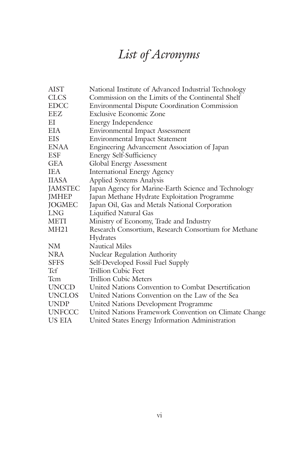# *List of Acronyms*

| <b>AIST</b>    | National Institute of Advanced Industrial Technology  |
|----------------|-------------------------------------------------------|
| <b>CLCS</b>    | Commission on the Limits of the Continental Shelf     |
| <b>EDCC</b>    | <b>Environmental Dispute Coordination Commission</b>  |
| EEZ            | <b>Exclusive Economic Zone</b>                        |
| EI             | Energy Independence                                   |
| EIA            | <b>Environmental Impact Assessment</b>                |
| <b>EIS</b>     | <b>Environmental Impact Statement</b>                 |
| <b>ENAA</b>    | Engineering Advancement Association of Japan          |
| <b>ESF</b>     | <b>Energy Self-Sufficiency</b>                        |
| <b>GEA</b>     | Global Energy Assessment                              |
| <b>IEA</b>     | <b>International Energy Agency</b>                    |
| <b>IIASA</b>   | Applied Systems Analysis                              |
| <b>JAMSTEC</b> | Japan Agency for Marine-Earth Science and Technology  |
| <b>JMHEP</b>   | Japan Methane Hydrate Exploitation Programme          |
| <b>JOGMEC</b>  | Japan Oil, Gas and Metals National Corporation        |
| LNG            | Liquified Natural Gas                                 |
| <b>METI</b>    | Ministry of Economy, Trade and Industry               |
| <b>MH21</b>    | Research Consortium, Research Consortium for Methane  |
|                | Hydrates                                              |
| NM             | <b>Nautical Miles</b>                                 |
| <b>NRA</b>     | <b>Nuclear Regulation Authority</b>                   |
| <b>SFFS</b>    | Self-Developed Fossil Fuel Supply                     |
| Tcf            | Trillion Cubic Feet                                   |
| <b>T</b> cm    | Trillion Cubic Meters                                 |
| <b>UNCCD</b>   | United Nations Convention to Combat Desertification   |
| <b>UNCLOS</b>  | United Nations Convention on the Law of the Sea       |
| <b>UNDP</b>    | United Nations Development Programme                  |
| <b>UNFCCC</b>  | United Nations Framework Convention on Climate Change |
| US EIA         | United States Energy Information Administration       |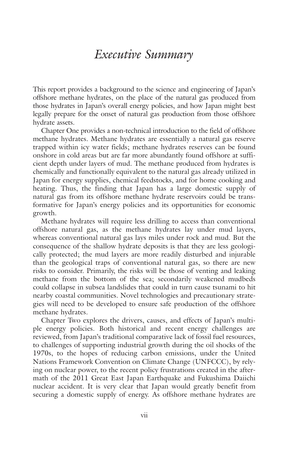### *Executive Summary*

This report provides a background to the science and engineering of Japan's offshore methane hydrates, on the place of the natural gas produced from those hydrates in Japan's overall energy policies, and how Japan might best legally prepare for the onset of natural gas production from those offshore hydrate assets.

Chapter One provides a non-technical introduction to the field of offshore methane hydrates. Methane hydrates are essentially a natural gas reserve trapped within icy water fields; methane hydrates reserves can be found onshore in cold areas but are far more abundantly found offshore at sufficient depth under layers of mud. The methane produced from hydrates is chemically and functionally equivalent to the natural gas already utilized in Japan for energy supplies, chemical feedstocks, and for home cooking and heating. Thus, the finding that Japan has a large domestic supply of natural gas from its offshore methane hydrate reservoirs could be transformative for Japan's energy policies and its opportunities for economic growth.

Methane hydrates will require less drilling to access than conventional offshore natural gas, as the methane hydrates lay under mud layers, whereas conventional natural gas lays miles under rock and mud. But the consequence of the shallow hydrate deposits is that they are less geologically protected; the mud layers are more readily disturbed and injurable than the geological traps of conventional natural gas, so there are new risks to consider. Primarily, the risks will be those of venting and leaking methane from the bottom of the sea; secondarily weakened mudbeds could collapse in subsea landslides that could in turn cause tsunami to hit nearby coastal communities. Novel technologies and precautionary strategies will need to be developed to ensure safe production of the offshore methane hydrates.

Chapter Two explores the drivers, causes, and effects of Japan's multiple energy policies. Both historical and recent energy challenges are reviewed, from Japan's traditional comparative lack of fossil fuel resources, to challenges of supporting industrial growth during the oil shocks of the 1970s, to the hopes of reducing carbon emissions, under the United Nations Framework Convention on Climate Change (UNFCCC), by relying on nuclear power, to the recent policy frustrations created in the aftermath of the 2011 Great East Japan Earthquake and Fukushima Daiichi nuclear accident. It is very clear that Japan would greatly benefit from securing a domestic supply of energy. As offshore methane hydrates are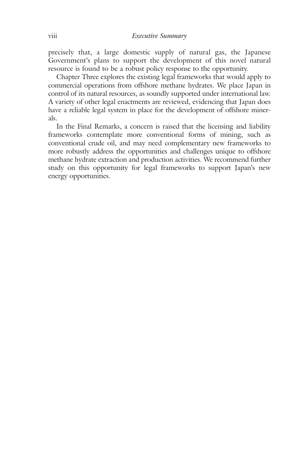precisely that, a large domestic supply of natural gas, the Japanese Government's plans to support the development of this novel natural resource is found to be a robust policy response to the opportunity.

Chapter Three explores the existing legal frameworks that would apply to commercial operations from offshore methane hydrates. We place Japan in control of its natural resources, as soundly supported under international law. A variety of other legal enactments are reviewed, evidencing that Japan does have a reliable legal system in place for the development of offshore minerals.

In the Final Remarks, a concern is raised that the licensing and liability frameworks contemplate more conventional forms of mining, such as conventional crude oil, and may need complementary new frameworks to more robustly address the opportunities and challenges unique to offshore methane hydrate extraction and production activities. We recommend further study on this opportunity for legal frameworks to support Japan's new energy opportunities.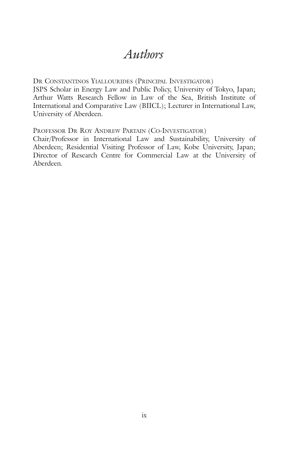### *Authors*

DR CONSTANTINOS YIALLOURIDES (PRINCIPAL INVESTIGATOR)

JSPS Scholar in Energy Law and Public Policy, University of Tokyo, Japan; Arthur Watts Research Fellow in Law of the Sea, British Institute of International and Comparative Law (BIICL); Lecturer in International Law, University of Aberdeen.

PROFESSOR DR ROY ANDREW PARTAIN (CO-INVESTIGATOR)

Chair/Professor in International Law and Sustainability, University of Aberdeen; Residential Visiting Professor of Law, Kobe University, Japan; Director of Research Centre for Commercial Law at the University of Aberdeen.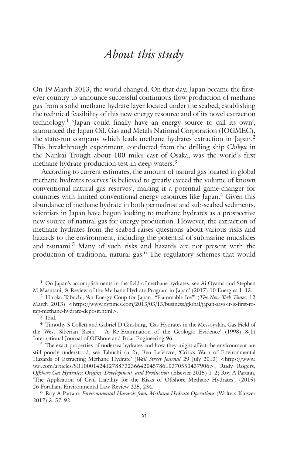### *About this study*

On 19 March 2013, the world changed. On that day, Japan became the firstever country to announce successful continuous-flow production of methane gas from a solid methane hydrate layer located under the seabed, establishing the technical feasibility of this new energy resource and of its novel extraction technology. <sup>1</sup> 'Japan could finally have an energy source to call its own', announced the Japan Oil, Gas and Metals National Corporation (JOGMEC), the state-run company which leads methane hydrates extraction in Japan. 2 This breakthrough experiment, conducted from the drilling ship *Chikyu* in the Nankai Trough about 100 miles east of Osaka, was the world's first methane hydrate production test in deep waters. 3

According to current estimates, the amount of natural gas located in global methane hydrates reserves 'is believed to greatly exceed the volume of known conventional natural gas reserves', making it a potential game-changer for countries with limited conventional energy resources like Japan. <sup>4</sup> Given this abundance of methane hydrate in both permafrost and sub-seabed sediments, scientists in Japan have begun looking to methane hydrates as a prospective new source of natural gas for energy production. However, the extraction of methane hydrates from the seabed raises questions about various risks and hazards to the environment, including the potential of submarine mudslides and tsunami. <sup>5</sup> Many of such risks and hazards are not present with the production of traditional natural gas. <sup>6</sup> The regulatory schemes that would

<sup>&</sup>lt;sup>1</sup> On Japan's accomplishments in the field of methane hydrates, see Ai Oyama and Stephen M Masutani, 'A Review of the Methane Hydrate Program in Japan' (2017) 10 Energies 1–13.

<sup>2</sup> Hiroko Tabuchi, 'An Energy Coup for Japan: "Flammable Ice"' (*The New York Times*, 12 March 2013) <https://www.nytimes.com/2013/03/13/business/global/japan-says-it-is-first-totap-methane-hydrate-deposit.html>.

<sup>3</sup> Ibid.

<sup>4</sup> Timothy S Collett and Gabriel D Ginsburg, 'Gas Hydrates in the Messoyakha Gas Field of the West Siberian Basin – A Re-Examination of the Geologic Evidence' (1998) 8(1) International Journal of Offshore and Polar Engineering 96.

<sup>5</sup> The exact properties of undersea hydrates and how they might affect the environment are still poorly understood, see Tabuchi (n 2); Ben Lefebvre, 'Critics Warn of Environmental Hazards of Extracting Methane Hydrate' (*Wall Street Journal* 29 July 2013) <https://www. wsj.com/articles/SB10001424127887323664204578610370550437906>; Rudy Rogers, *Offshore Gas Hydrates: Origins, Development, and Production* (Elsevier 2015) 1–2; Roy A Partain, 'The Application of Civil Liability for the Risks of Offshore Methane Hydrates'*,* (2015) 26 Fordham Environmental Law Review 225, 234.

<sup>6</sup> Roy A Partain, *Environmental Hazards from Methane Hydrate Operations* (Wolters Kluwer 2017) 3, 57–92.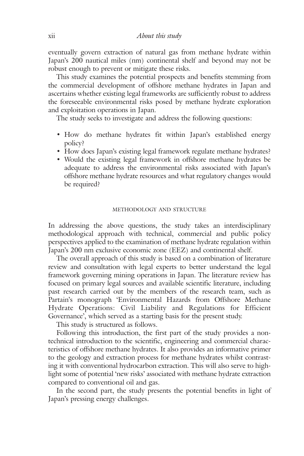eventually govern extraction of natural gas from methane hydrate within Japan's 200 nautical miles (nm) continental shelf and beyond may not be robust enough to prevent or mitigate these risks.

This study examines the potential prospects and benefits stemming from the commercial development of offshore methane hydrates in Japan and ascertains whether existing legal frameworks are sufficiently robust to address the foreseeable environmental risks posed by methane hydrate exploration and exploitation operations in Japan.

The study seeks to investigate and address the following questions:

- How do methane hydrates fit within Japan's established energy policy?
- How does Japan's existing legal framework regulate methane hydrates?
- Would the existing legal framework in offshore methane hydrates be adequate to address the environmental risks associated with Japan's offshore methane hydrate resources and what regulatory changes would be required?

### METHODOLOGY AND STRUCTURE

In addressing the above questions, the study takes an interdisciplinary methodological approach with technical, commercial and public policy perspectives applied to the examination of methane hydrate regulation within Japan's 200 nm exclusive economic zone (EEZ) and continental shelf.

The overall approach of this study is based on a combination of literature review and consultation with legal experts to better understand the legal framework governing mining operations in Japan. The literature review has focused on primary legal sources and available scientific literature, including past research carried out by the members of the research team, such as Partain's monograph 'Environmental Hazards from Offshore Methane Hydrate Operations: Civil Liability and Regulations for Efficient Governance', which served as a starting basis for the present study.

This study is structured as follows.

Following this introduction, the first part of the study provides a nontechnical introduction to the scientific, engineering and commercial characteristics of offshore methane hydrates. It also provides an informative primer to the geology and extraction process for methane hydrates whilst contrasting it with conventional hydrocarbon extraction. This will also serve to highlight some of potential 'new risks' associated with methane hydrate extraction compared to conventional oil and gas.

In the second part, the study presents the potential benefits in light of Japan's pressing energy challenges.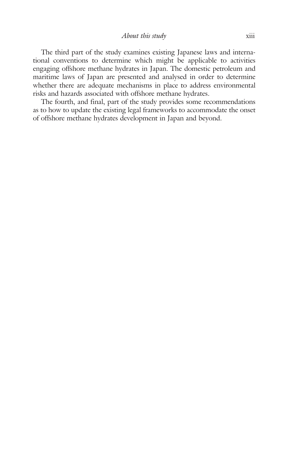The third part of the study examines existing Japanese laws and international conventions to determine which might be applicable to activities engaging offshore methane hydrates in Japan. The domestic petroleum and maritime laws of Japan are presented and analysed in order to determine whether there are adequate mechanisms in place to address environmental risks and hazards associated with offshore methane hydrates.

The fourth, and final, part of the study provides some recommendations as to how to update the existing legal frameworks to accommodate the onset of offshore methane hydrates development in Japan and beyond.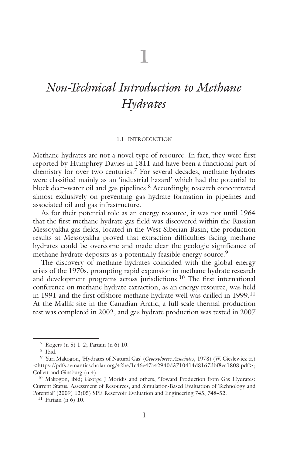# **1**

### *Non-Technical Introduction to Methane Hydrates*

### 1.1 INTRODUCTION

Methane hydrates are not a novel type of resource. In fact, they were first reported by Humphrey Davies in 1811 and have been a functional part of chemistry for over two centuries. <sup>7</sup> For several decades, methane hydrates were classified mainly as an 'industrial hazard' which had the potential to block deep-water oil and gas pipelines. <sup>8</sup> Accordingly, research concentrated almost exclusively on preventing gas hydrate formation in pipelines and associated oil and gas infrastructure.

As for their potential role as an energy resource, it was not until 1964 that the first methane hydrate gas field was discovered within the Russian Messoyakha gas fields, located in the West Siberian Basin; the production results at Messoyakha proved that extraction difficulties facing methane hydrates could be overcome and made clear the geologic significance of methane hydrate deposits as a potentially feasible energy source. 9

The discovery of methane hydrates coincided with the global energy crisis of the 1970s, prompting rapid expansion in methane hydrate research and development programs across jurisdictions. <sup>10</sup> The first international conference on methane hydrate extraction, as an energy resource, was held in 1991 and the first offshore methane hydrate well was drilled in 1999. 11 At the Mallik site in the Canadian Arctic, a full-scale thermal production test was completed in 2002, and gas hydrate production was tested in 2007

<sup>7</sup> Rogers (n 5) 1–2; Partain (n 6) 10.

<sup>8</sup> Ibid.

<sup>9</sup> Yuri Makogon, 'Hydrates of Natural Gas' (*Geoexplorers Associates*, 1978) (W. Cieslewicz tr.) <https://pdfs.semanticscholar.org/42be/1c46e47a42940d3710414d8167dbf8ec1808.pdf>; Collett and Ginsburg (n 4).

<sup>10</sup> Makogon, ibid; George J Moridis and others, 'Toward Production from Gas Hydrates: Current Status, Assessment of Resources, and Simulation-Based Evaluation of Technology and Potential' (2009) 12(05) SPE Reservoir Evaluation and Engineering 745, 748–52.

<sup>11</sup> Partain (n 6) 10.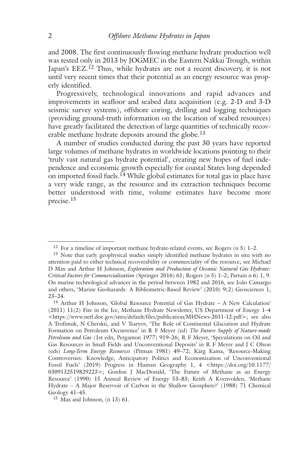and 2008. The first continuously flowing methane hydrate production well was tested only in 2013 by JOGMEC in the Eastern Nakkai Trough, within Japan's EEZ.<sup>12</sup> Thus, while hydrates are not a recent discovery, it is not until very recent times that their potential as an energy resource was properly identified.

Progressively, technological innovations and rapid advances and improvements in seafloor and seabed data acquisition (e.g. 2-D and 3-D seismic survey systems), offshore coring, drilling and logging techniques (providing ground-truth information on the location of seabed resources) have greatly facilitated the detection of large quantities of technically recoverable methane hydrate deposits around the globe.<sup>13</sup>

A number of studies conducted during the past 30 years have reported large volumes of methane hydrates in worldwide locations pointing to their 'truly vast natural gas hydrate potential', creating new hopes of fuel independence and economic growth especially for coastal States long depended on imported fossil fuels.<sup>14</sup> While global estimates for total gas in place have a very wide range, as the resource and its extraction techniques become better understood with time, volume estimates have become more precise. 15

<sup>&</sup>lt;sup>12</sup> For a timeline of important methane hydrate-related events, see Rogers  $(n 5)$  1–2.

<sup>13</sup> Note that early geophysical studies simply identified methane hydrates in situ with no attention paid to either technical recoverability or commerciality of the resource; see Michael D Max and Arthur H Johnson, *Exploration and Production of Oceanic Natural Gas Hydrate: Critical Factors for Commercialization* (Springer 2016) 61; Rogers (n 5) 1–2; Partain n 6) 1, 9. On marine technological advances in the period between 1982 and 2016, see João Camargo and others, 'Marine Geohazards: A Bibliometric-Based Review' (2010) 9(2) Geosciences 1, 23–24.

<sup>14</sup> Arthur H Johnson, 'Global Resource Potential of Gas Hydrate – A New Calculation' (2011) 11(2) Fire in the Ice, Methane Hydrate Newsletter, US Department of Energy 1–4 <https://www.netl.doe.gov/sites/default/files/publication/MHNews-2011-12.pdf>; see also A Trofimuk, N Cherskii, and V Tsaryov, 'The Role of Continental Glaciation and Hydrate Formation on Petroleum Occurrence' in R F Meyer (ed) *The Future Supply of Nature-made Petroleum and Gas* (1st edn, Pergamon 1977) 919–26; R F Meyer, 'Speculations on Oil and Gas Resources in Small Fields and Unconventional Deposits' in R F Meyer and J C Olson (eds) *Long-Term Energy Resources* (Pitman 1981) 49–72; Kärg Kama, 'Resource-Making Controversies: Knowledge, Anticipatory Politics and Economization of Unconventional Fossil Fuels' (2019) Progress in Human Geography 1, 4 <https://doi.org/10.1177/ 0309132519829223>; Gordon J MacDonald, 'The Future of Methane as an Energy Resource' (1990) 15 Annual Review of Energy 53–83; Keith A Kvenvolden, 'Methane Hydrate – A Major Reservoir of Carbon in the Shallow Geosphere?' (1988) 71 Chemical Geology 41–45.

<sup>15</sup> Max and Johnson, (n 13) 61.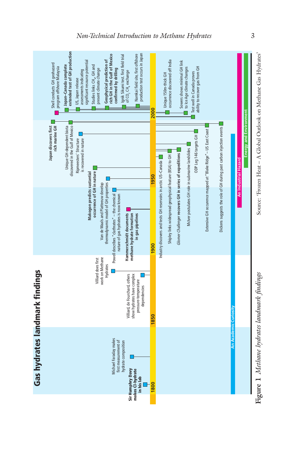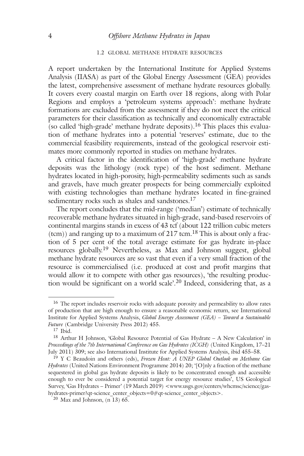#### 1.2 GLOBAL METHANE HYDRATE RESOURCES

A report undertaken by the International Institute for Applied Systems Analysis (IIASA) as part of the Global Energy Assessment (GEA) provides the latest, comprehensive assessment of methane hydrate resources globally. It covers every coastal margin on Earth over 18 regions, along with Polar Regions and employs a 'petroleum systems approach': methane hydrate formations are excluded from the assessment if they do not meet the critical parameters for their classification as technically and economically extractable (so called 'high-grade' methane hydrate deposits). <sup>16</sup> This places this evaluation of methane hydrates into a potential 'reserves' estimate, due to the commercial feasibility requirements, instead of the geological reservoir estimates more commonly reported in studies on methane hydrates.

A critical factor in the identification of 'high-grade' methane hydrate deposits was the lithology (rock type) of the host sediment. Methane hydrates located in high-porosity, high-permeability sediments such as sands and gravels, have much greater prospects for being commercially exploited with existing technologies than methane hydrates located in fine-grained sedimentary rocks such as shales and sandstones.<sup>17</sup>

The report concludes that the mid-range ('median') estimate of technically recoverable methane hydrates situated in high-grade, sand-based reservoirs of continental margins stands in excess of 43 tcf (about 122 trillion cubic meters  $(tcm)$ ) and ranging up to a maximum of 217 tcm.<sup>18</sup> This is about only a fraction of 5 per cent of the total average estimate for gas hydrate in-place resources globally.<sup>19</sup> Nevertheless, as Max and Johnson suggest, global methane hydrate resources are so vast that even if a very small fraction of the resource is commercialised (i.e. produced at cost and profit margins that would allow it to compete with other gas resources), 'the resulting production would be significant on a world scale'. <sup>20</sup> Indeed, considering that, as a

<sup>&</sup>lt;sup>16</sup> The report includes reservoir rocks with adequate porosity and permeability to allow rates of production that are high enough to ensure a reasonable economic return, see International Institute for Applied Systems Analysis, *Global Energy Assessment (GEA) – Toward a Sustainable Future* (Cambridge University Press 2012) 455.

 $17$  Ibid.

<sup>18</sup> Arthur H Johnson, 'Global Resource Potential of Gas Hydrate – A New Calculation' in *Proceedings of the 7th International Conference on Gas Hydrates (ICGH)* (United Kingdom, 17–21 July 2011) 309; see also International Institute for Applied Systems Analysis, ibid 455–58.

<sup>19</sup> Y C Beaudoin and others (eds), *Frozen Heat: A UNEP Global Outlook on Methane Gas Hydrates* (United Nations Environment Programme 2014) 20; '[O]nly a fraction of the methane sequestered in global gas hydrate deposits is likely to be concentrated enough and accessible enough to ever be considered a potential target for energy resource studies', US Geological Survey, 'Gas Hydrates – Primer' (19 March 2019) <www.usgs.gov/centers/whcmsc/science/gashydrates-primer?qt-science\_center\_objects=0#qt-science\_center\_objects>.

 $20$  Max and Johnson, (n 13) 65.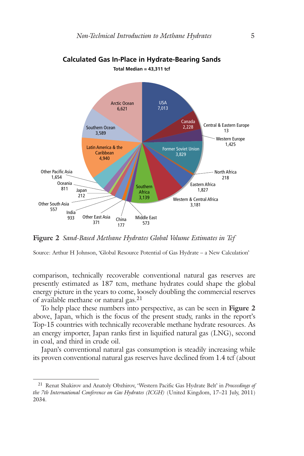

### **Calculated Gas In-Place in Hydrate-Bearing Sands Total Median = 43,311 tcf**

**Figure 2** *Sand-Based Methane Hydrates Global Volume Estimates in Tcf*

Source: Arthur H Johnson, 'Global Resource Potential of Gas Hydrate – a New Calculation'

comparison, technically recoverable conventional natural gas reserves are presently estimated as 187 tcm, methane hydrates could shape the global energy picture in the years to come, loosely doubling the commercial reserves of available methane or natural gas. 21

To help place these numbers into perspective, as can be seen in **Figure 2** above, Japan, which is the focus of the present study, ranks in the report's Top-15 countries with technically recoverable methane hydrate resources. As an energy importer, Japan ranks first in liquified natural gas (LNG), second in coal, and third in crude oil.

Japan's conventional natural gas consumption is steadily increasing while its proven conventional natural gas reserves have declined from 1.4 tcf (about

<sup>21</sup> Renat Shakirov and Anatoly Obzhirov, 'Western Pacific Gas Hydrate Belt' in *Proceedings of the 7th International Conference on Gas Hydrates (ICGH)* (United Kingdom, 17–21 July, 2011) 2034.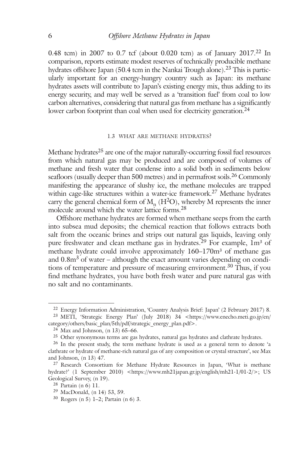0.48 tcm) in 2007 to 0.7 tcf (about 0.020 tcm) as of January 2017. <sup>22</sup> In comparison, reports estimate modest reserves of technically producible methane hydrates offshore Japan (50.4 tcm in the Nankai Trough alone). <sup>23</sup> This is particularly important for an energy-hungry country such as Japan: its methane hydrates assets will contribute to Japan's existing energy mix, thus adding to its energy security, and may well be served as a 'transition fuel' from coal to low carbon alternatives, considering that natural gas from methane has a significantly lower carbon footprint than coal when used for electricity generation.<sup>24</sup>

#### 1.3 WHAT ARE METHANE HYDRATES?

Methane hydrates<sup>25</sup> are one of the major naturally-occurring fossil fuel resources from which natural gas may be produced and are composed of volumes of methane and fresh water that condense into a solid both in sediments below seafloors (usually deeper than 500 metres) and in permafrost soils. <sup>26</sup> Commonly manifesting the appearance of slushy ice, the methane molecules are trapped within cage-like structures within a water-ice framework. <sup>27</sup> Methane hydrates carry the general chemical form of  $M_n$  (H<sup>2</sup>O), whereby M represents the inner molecule around which the water lattice forms. 28

Offshore methane hydrates are formed when methane seeps from the earth into subsea mud deposits; the chemical reaction that follows extracts both salt from the oceanic brines and strips out natural gas liquids, leaving only pure freshwater and clean methane gas in hydrates.<sup>29</sup> For example, 1m<sup>3</sup> of methane hydrate could involve approximately 160–170m<sup>3</sup> of methane gas and  $0.8\text{m}^3$  of water – although the exact amount varies depending on conditions of temperature and pressure of measuring environment. <sup>30</sup> Thus, if you find methane hydrates, you have both fresh water and pure natural gas with no salt and no contaminants.

<sup>22</sup> Energy Information Administration, 'Country Analysis Brief: Japan' (2 February 2017) 8.

<sup>23</sup> METI, 'Strategic Energy Plan' (July 2018) 34 <https://www.enecho.meti.go.jp/en/ category/others/basic\_plan/5th/pdf/strategic\_energy\_plan.pdf>.

 $24$  Max and Johnson, (n 13) 65–66.

<sup>&</sup>lt;sup>25</sup> Other synonymous terms are gas hydrates, natural gas hydrates and clathrate hydrates.

<sup>&</sup>lt;sup>26</sup> In the present study, the term methane hydrate is used as a general term to denote 'a clathrate or hydrate of methane-rich natural gas of any composition or crystal structure', see Max and Johnson, (n 13) 47.

<sup>&</sup>lt;sup>27</sup> Research Consortium for Methane Hydrate Resources in Japan, 'What is methane hydrate?' (1 September 2010) <https://www.mh21japan.gr.jp/english/mh21-1/01-2/>; US Geological Survey, (n 19).

<sup>28</sup> Partain (n 6) 11.

<sup>29</sup> MacDonald, (n 14) 53, 59.

<sup>30</sup> Rogers (n 5) 1–2; Partain (n 6) 3.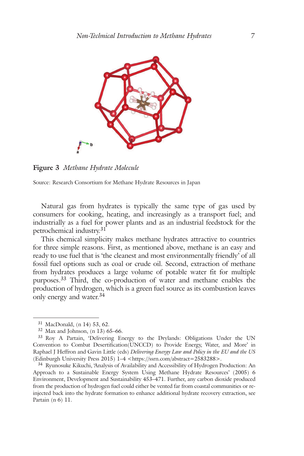

**Figure 3** *Methane Hydrate Molecule*

Source: Research Consortium for Methane Hydrate Resources in Japan

Natural gas from hydrates is typically the same type of gas used by consumers for cooking, heating, and increasingly as a transport fuel; and industrially as a fuel for power plants and as an industrial feedstock for the petrochemical industry. 31

This chemical simplicity makes methane hydrates attractive to countries for three simple reasons. First, as mentioned above, methane is an easy and ready to use fuel that is 'the cleanest and most environmentally friendly' of all fossil fuel options such as coal or crude oil. Second, extraction of methane from hydrates produces a large volume of potable water fit for multiple purposes.<sup>33</sup> Third, the co-production of water and methane enables the production of hydrogen, which is a green fuel source as its combustion leaves only energy and water. 34

<sup>31</sup> MacDonald, (n 14) 53, 62.

<sup>32</sup> Max and Johnson, (n 13) 65–66.

<sup>33</sup> Roy A Partain, 'Delivering Energy to the Drylands: Obligations Under the UN Convention to Combat Desertification(UNCCD) to Provide Energy, Water, and More' in Raphael J Heffron and Gavin Little (eds) *Delivering Energy Law and Policy in the EU and the US* (Edinburgh University Press 2015) 1–4 <https://ssrn.com/abstract=2583288>.

<sup>34</sup> Ryunosuke Kikuchi, 'Analysis of Availability and Accessibility of Hydrogen Production: An Approach to a Sustainable Energy System Using Methane Hydrate Resources' (2005) 6 Environment, Development and Sustainability 453–471. Further, any carbon dioxide produced from the production of hydrogen fuel could either be vented far from coastal communities or reinjected back into the hydrate formation to enhance additional hydrate recovery extraction, see Partain (n 6) 11.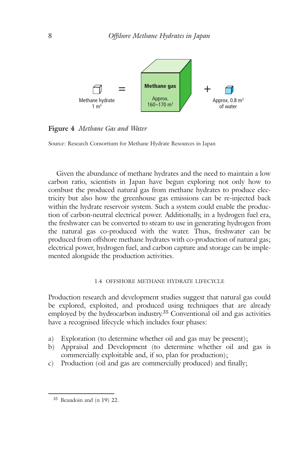

**Figure 4** *Methane Gas and Water*

Source: Research Consortium for Methane Hydrate Resources in Japan

Given the abundance of methane hydrates and the need to maintain a low carbon ratio, scientists in Japan have begun exploring not only how to combust the produced natural gas from methane hydrates to produce electricity but also how the greenhouse gas emissions can be re-injected back within the hydrate reservoir system. Such a system could enable the production of carbon-neutral electrical power. Additionally, in a hydrogen fuel era, the freshwater can be converted to steam to use in generating hydrogen from the natural gas co-produced with the water. Thus, freshwater can be produced from offshore methane hydrates with co-production of natural gas; electrical power, hydrogen fuel, and carbon capture and storage can be implemented alongside the production activities.

#### 1.4 OFFSHORE METHANE HYDRATE LIFECYCLE

Production research and development studies suggest that natural gas could be explored, exploited, and produced using techniques that are already employed by the hydrocarbon industry. <sup>35</sup> Conventional oil and gas activities have a recognised lifecycle which includes four phases:

- a) Exploration (to determine whether oil and gas may be present);
- b) Appraisal and Development (to determine whether oil and gas is commercially exploitable and, if so, plan for production);
- c) Production (oil and gas are commercially produced) and finally;

<sup>35</sup> Beaudoin and (n 19) 22.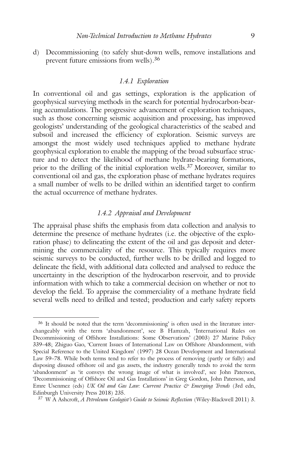d) Decommissioning (to safely shut-down wells, remove installations and prevent future emissions from wells). 36

### *1.4.1 Exploration*

In conventional oil and gas settings, exploration is the application of geophysical surveying methods in the search for potential hydrocarbon-bearing accumulations. The progressive advancement of exploration techniques, such as those concerning seismic acquisition and processing, has improved geologists' understanding of the geological characteristics of the seabed and subsoil and increased the efficiency of exploration. Seismic surveys are amongst the most widely used techniques applied to methane hydrate geophysical exploration to enable the mapping of the broad subsurface structure and to detect the likelihood of methane hydrate-bearing formations, prior to the drilling of the initial exploration wells.<sup>37</sup> Moreover, similar to conventional oil and gas, the exploration phase of methane hydrates requires a small number of wells to be drilled within an identified target to confirm the actual occurrence of methane hydrates.

### *1.4.2 Appraisal and Development*

The appraisal phase shifts the emphasis from data collection and analysis to determine the presence of methane hydrates (i.e. the objective of the exploration phase) to delineating the extent of the oil and gas deposit and determining the commerciality of the resource. This typically requires more seismic surveys to be conducted, further wells to be drilled and logged to delineate the field, with additional data collected and analysed to reduce the uncertainty in the description of the hydrocarbon reservoir, and to provide information with which to take a commercial decision on whether or not to develop the field. To appraise the commerciality of a methane hydrate field several wells need to drilled and tested; production and early safety reports

<sup>36</sup> It should be noted that the term 'decommissioning' is often used in the literature interchangeably with the term 'abandonment', see B Hamzah, 'International Rules on Decommissioning of Offshore Installations: Some Observations' (2003) 27 Marine Policy 339–48; Zhiguo Gao, 'Current Issues of International Law on Offshore Abandonment, with Special Reference to the United Kingdom' (1997) 28 Ocean Development and International Law 59–78. While both terms tend to refer to the process of removing (partly or fully) and disposing disused offshore oil and gas assets, the industry generally tends to avoid the term 'abandonment' as 'it conveys the wrong image of what is involved', see John Paterson, 'Decommissioning of Offshore Oil and Gas Installations' in Greg Gordon, John Paterson, and Emre Usenmez (eds) *UK Oil and Gas Law: Current Practice & Emerging Trends* (3rd edn, Edinburgh University Press 2018) 235.

<sup>37</sup> W A Ashcroft, *A Petroleum Geologist's Guide to Seismic Reflection* (Wiley-Blackwell 2011) 3.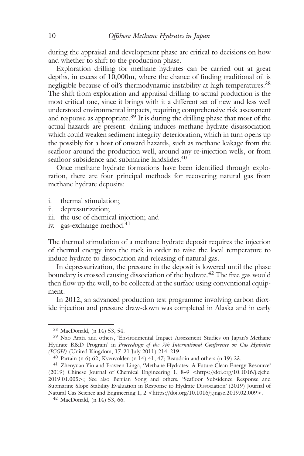during the appraisal and development phase are critical to decisions on how and whether to shift to the production phase.

Exploration drilling for methane hydrates can be carried out at great depths, in excess of 10,000m, where the chance of finding traditional oil is negligible because of oil's thermodynamic instability at high temperatures. 38 The shift from exploration and appraisal drilling to actual production is the most critical one, since it brings with it a different set of new and less well understood environmental impacts, requiring comprehensive risk assessment and response as appropriate.<sup>39</sup> It is during the drilling phase that most of the actual hazards are present: drilling induces methane hydrate disassociation which could weaken sediment integrity deterioration, which in turn opens up the possibly for a host of onward hazards, such as methane leakage from the seafloor around the production well, around any re-injection wells, or from seafloor subsidence and submarine landslides. 40

Once methane hydrate formations have been identified through exploration, there are four principal methods for recovering natural gas from methane hydrate deposits:

- i. thermal stimulation;
- ii. depressurization;
- iii. the use of chemical injection; and
- iv. gas-exchange method. 41

The thermal stimulation of a methane hydrate deposit requires the injection of thermal energy into the rock in order to raise the local temperature to induce hydrate to dissociation and releasing of natural gas.

In depressurization, the pressure in the deposit is lowered until the phase boundary is crossed causing dissociation of the hydrate. <sup>42</sup> The free gas would then flow up the well, to be collected at the surface using conventional equipment.

In 2012, an advanced production test programme involving carbon dioxide injection and pressure draw-down was completed in Alaska and in early

<sup>38</sup> MacDonald, (n 14) 53, 54.

<sup>39</sup> Nao Arata and others, 'Environmental Impact Assessment Studies on Japan's Methane Hydrate R&D Program' in *Proceedings of the 7th International Conference on Gas Hydrates (ICGH)* (United Kingdom, 17–21 July 2011) 214–219.

<sup>40</sup> Partain (n 6) 62; Kvenvolden (n 14) 41, 47; Beaudoin and others (n 19) 23.

<sup>41</sup> Zhenyuan Yin and Praveen Linga, 'Methane Hydrates: A Future Clean Energy Resource' (2019) Chinese Journal of Chemical Engineering 1, 8–9 <https://doi.org/10.1016/j.cjche. 2019.01.005>; See also Benjian Song and others, 'Seafloor Subsidence Response and Submarine Slope Stability Evaluation in Response to Hydrate Dissociation' (2019) Journal of Natural Gas Science and Engineering 1, 2 <https://doi.org/10.1016/j.jngse.2019.02.009>.

<sup>42</sup> MacDonald, (n 14) 53, 66.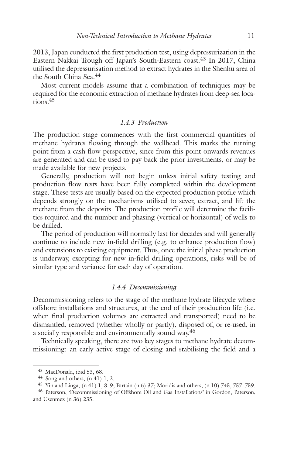2013, Japan conducted the first production test, using depressurization in the Eastern Nakkai Trough off Japan's South-Eastern coast. <sup>43</sup> In 2017, China utilised the depressurisation method to extract hydrates in the Shenhu area of the South China Sea. 44

Most current models assume that a combination of techniques may be required for the economic extraction of methane hydrates from deep-sea locations. 45

### *1.4.3 Production*

The production stage commences with the first commercial quantities of methane hydrates flowing through the wellhead. This marks the turning point from a cash flow perspective, since from this point onwards revenues are generated and can be used to pay back the prior investments, or may be made available for new projects.

Generally, production will not begin unless initial safety testing and production flow tests have been fully completed within the development stage. These tests are usually based on the expected production profile which depends strongly on the mechanisms utilised to sever, extract, and lift the methane from the deposits. The production profile will determine the facilities required and the number and phasing (vertical or horizontal) of wells to be drilled.

The period of production will normally last for decades and will generally continue to include new in-field drilling (e.g. to enhance production flow) and extensions to existing equipment. Thus, once the initial phase production is underway, excepting for new in-field drilling operations, risks will be of similar type and variance for each day of operation.

### *1.4.4 Decommissioning*

Decommissioning refers to the stage of the methane hydrate lifecycle where offshore installations and structures, at the end of their production life (i.e. when final production volumes are extracted and transported) need to be dismantled, removed (whether wholly or partly), disposed of, or re-used, in a socially responsible and environmentally sound way.<sup>46</sup>

Technically speaking, there are two key stages to methane hydrate decommissioning: an early active stage of closing and stabilising the field and a

<sup>43</sup> MacDonald, ibid 53, 68.

<sup>44</sup> Song and others, (n 41) 1, 2.

<sup>45</sup> Yin and Linga, (n 41) 1, 8–9; Partain (n 6) 37; Moridis and others, (n 10) 745, 757–759.

<sup>46</sup> Paterson, 'Decommissioning of Offshore Oil and Gas Installations' in Gordon, Paterson, and Usenmez (n 36) 235.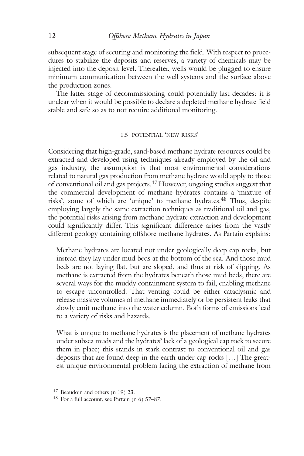subsequent stage of securing and monitoring the field. With respect to procedures to stabilize the deposits and reserves, a variety of chemicals may be injected into the deposit level. Thereafter, wells would be plugged to ensure minimum communication between the well systems and the surface above the production zones.

The latter stage of decommissioning could potentially last decades; it is unclear when it would be possible to declare a depleted methane hydrate field stable and safe so as to not require additional monitoring.

### 1.5 POTENTIAL 'NEW RISKS'

Considering that high-grade, sand-based methane hydrate resources could be extracted and developed using techniques already employed by the oil and gas industry, the assumption is that most environmental considerations related to natural gas production from methane hydrate would apply to those of conventional oil and gas projects. <sup>47</sup> However, ongoing studies suggest that the commercial development of methane hydrates contains a 'mixture of risks', some of which are 'unique' to methane hydrates. <sup>48</sup> Thus, despite employing largely the same extraction techniques as traditional oil and gas, the potential risks arising from methane hydrate extraction and development could significantly differ. This significant difference arises from the vastly different geology containing offshore methane hydrates. As Partain explains:

Methane hydrates are located not under geologically deep cap rocks, but instead they lay under mud beds at the bottom of the sea. And those mud beds are not laying flat, but are sloped, and thus at risk of slipping. As methane is extracted from the hydrates beneath those mud beds, there are several ways for the muddy containment system to fail, enabling methane to escape uncontrolled. That venting could be either cataclysmic and release massive volumes of methane immediately or be persistent leaks that slowly emit methane into the water column. Both forms of emissions lead to a variety of risks and hazards.

What is unique to methane hydrates is the placement of methane hydrates under subsea muds and the hydrates' lack of a geological cap rock to secure them in place; this stands in stark contrast to conventional oil and gas deposits that are found deep in the earth under cap rocks […] The greatest unique environmental problem facing the extraction of methane from

<sup>47</sup> Beaudoin and others (n 19) 23.

<sup>48</sup> For a full account, see Partain (n 6) 57–87.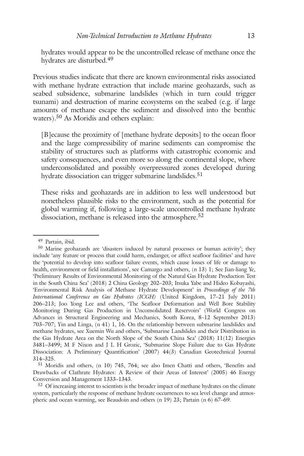hydrates would appear to be the uncontrolled release of methane once the hydrates are disturbed. 49

Previous studies indicate that there are known environmental risks associated with methane hydrate extraction that include marine geohazards, such as seabed subsidence, submarine landslides (which in turn could trigger tsunami) and destruction of marine ecosystems on the seabed (e.g. if large amounts of methane escape the sediment and dissolved into the benthic waters). <sup>50</sup> As Moridis and others explain:

[B]ecause the proximity of [methane hydrate deposits] to the ocean floor and the large compressibility of marine sediments can compromise the stability of structures such as platforms with catastrophic economic and safety consequences, and even more so along the continental slope, where underconsolidated and possibly overpressured zones developed during hydrate dissociation can trigger submarine landslides. 51

These risks and geohazards are in addition to less well understood but nonetheless plausible risks to the environment, such as the potential for global warming if, following a large-scale uncontrolled methane hydrate dissociation, methane is released into the atmosphere. 52

<sup>51</sup> Moridis and others, (n 10) 745, 764; see also Imen Chatti and others, 'Benefits and Drawbacks of Clathrate Hydrates: A Review of their Areas of Interest' (2005) 46 Energy Conversion and Management 1333–1343.

<sup>49</sup> Partain, ibid.

<sup>50</sup> Marine geohazards are 'disasters induced by natural processes or human activity'; they include 'any feature or process that could harm, endanger, or affect seafloor facilities' and have the 'potential to develop into seafloor failure events, which cause losses of life or damage to health, environment or field installations', see Camargo and others, (n 13) 1; See Jian-liang Ye, 'Preliminary Results of Environmental Monitoring of the Natural Gas Hydrate Production Test in the South China Sea' (2018) 2 China Geology 202–203; Itsuka Yabe and Hideo Kobayashi, 'Environmental Risk Analysis of Methane Hydrate Development' in *Proceedings of the 7th International Conference on Gas Hydrates (ICGH)* (United Kingdom, 17–21 July 2011) 206–213; Joo Yong Lee and others, 'The Seafloor Deformation and Well Bore Stability Monitoring During Gas Production in Unconsolidated Reservoirs' (World Congress on Advances in Structural Engineering and Mechanics, South Korea, 8–12 September 2013) 703–707; Yin and Linga, (n 41) 1, 16. On the relationship between submarine landslides and methane hydrates, see Xuemin Wu and others, 'Submarine Landslides and their Distribution in the Gas Hydrate Area on the North Slope of the South China Sea' (2018) 11(12) Energies 3481–3499; M F Nixon and J L H Grozic, 'Submarine Slope Failure due to Gas Hydrate Dissociation: A Preliminary Quantification' (2007) 44(3) Canadian Geotechnical Journal 314–325.

<sup>&</sup>lt;sup>52</sup> Of increasing interest to scientists is the broader impact of methane hydrates on the climate system, particularly the response of methane hydrate occurrences to sea level change and atmospheric and ocean warming, see Beaudoin and others (n 19) 23; Partain (n 6) 67–69.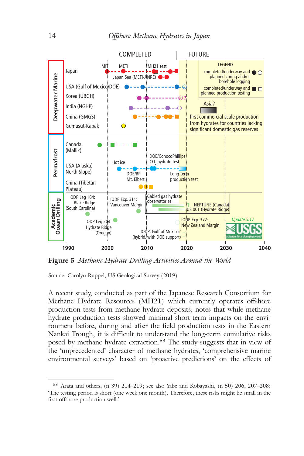

**Figure 5** *Methane Hydrate Drilling Activities Around the World*

Source: Carolyn Ruppel, US Geological Survey (2019)

A recent study, conducted as part of the Japanese Research Consortium for Methane Hydrate Resources (MH21) which currently operates offshore production tests from methane hydrate deposits, notes that while methane hydrate production tests showed minimal short-term impacts on the environment before, during and after the field production tests in the Eastern Nankai Trough, it is difficult to understand the long-term cumulative risks posed by methane hydrate extraction. <sup>53</sup> The study suggests that in view of the 'unprecedented' character of methane hydrates, 'comprehensive marine environmental surveys' based on 'proactive predictions' on the effects of

<sup>53</sup> Arata and others, (n 39) 214–219; see also Yabe and Kobayashi, (n 50) 206, 207–208: 'The testing period is short (one week one month). Therefore, these risks might be small in the first offshore production well.'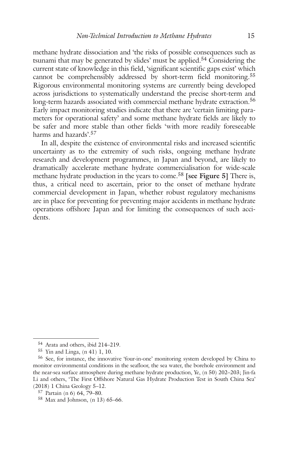methane hydrate dissociation and 'the risks of possible consequences such as tsunami that may be generated by slides' must be applied. <sup>54</sup> Considering the current state of knowledge in this field, 'significant scientific gaps exist' which cannot be comprehensibly addressed by short-term field monitoring. 55 Rigorous environmental monitoring systems are currently being developed across jurisdictions to systematically understand the precise short-term and long-term hazards associated with commercial methane hydrate extraction. 56 Early impact monitoring studies indicate that there are 'certain limiting parameters for operational safety' and some methane hydrate fields are likely to be safer and more stable than other fields 'with more readily foreseeable harms and hazards'. 57

In all, despite the existence of environmental risks and increased scientific uncertainty as to the extremity of such risks, ongoing methane hydrate research and development programmes, in Japan and beyond, are likely to dramatically accelerate methane hydrate commercialisation for wide-scale methane hydrate production in the years to come. <sup>58</sup> **[see Figure 5]** There is, thus, a critical need to ascertain, prior to the onset of methane hydrate commercial development in Japan, whether robust regulatory mechanisms are in place for preventing for preventing major accidents in methane hydrate operations offshore Japan and for limiting the consequences of such accidents.

<sup>54</sup> Arata and others, ibid 214–219.

<sup>55</sup> Yin and Linga, (n 41) 1, 10.

<sup>56</sup> See, for instance, the innovative 'four-in-one' monitoring system developed by China to monitor environmental conditions in the seafloor, the sea water, the borehole environment and the near-sea surface atmosphere during methane hydrate production, Ye, (n 50) 202–203; Jin-fa Li and others, 'The First Offshore Natural Gas Hydrate Production Test in South China Sea' (2018) 1 China Geology 5–12.

<sup>57</sup> Partain (n 6) 64, 79–80.

<sup>58</sup> Max and Johnson, (n 13) 65–66.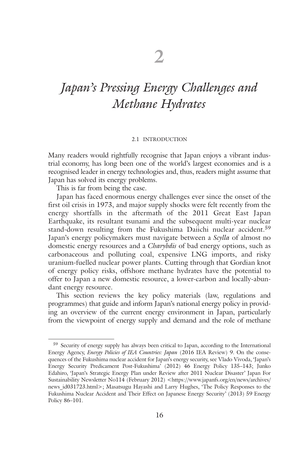### *Japan's Pressing Energy Challenges and Methane Hydrates*

#### 2.1 INTRODUCTION

Many readers would rightfully recognise that Japan enjoys a vibrant industrial economy, has long been one of the world's largest economies and is a recognised leader in energy technologies and, thus, readers might assume that Japan has solved its energy problems.

This is far from being the case.

Japan has faced enormous energy challenges ever since the onset of the first oil crisis in 1973, and major supply shocks were felt recently from the energy shortfalls in the aftermath of the 2011 Great East Japan Earthquake, its resultant tsunami and the subsequent multi-year nuclear stand-down resulting from the Fukushima Daiichi nuclear accident. 59 Japan's energy policymakers must navigate between a *Scylla* of almost no domestic energy resources and a *Charybdis* of bad energy options, such as carbonaceous and polluting coal, expensive LNG imports, and risky uranium-fuelled nuclear power plants. Cutting through that Gordian knot of energy policy risks, offshore methane hydrates have the potential to offer to Japan a new domestic resource, a lower-carbon and locally-abundant energy resource.

This section reviews the key policy materials (law, regulations and programmes) that guide and inform Japan's national energy policy in providing an overview of the current energy environment in Japan, particularly from the viewpoint of energy supply and demand and the role of methane

<sup>&</sup>lt;sup>59</sup> Security of energy supply has always been critical to Japan, according to the International Energy Agency, *Energy Policies of IEA Countries: Japan* (2016 IEA Review) 9. On the consequences of the Fukushima nuclear accident for Japan's energy security, see Vlado Vivoda, 'Japan's Energy Security Predicament Post-Fukushima' (2012) 46 Energy Policy 135–143; Junko Edahiro, 'Japan's Strategic Energy Plan under Review after 2011 Nuclear Disaster' Japan For Sustainability Newsletter No114 (February 2012) <https://www.japanfs.org/en/news/archives/ news id031723.html>; Masatsugu Hayashi and Larry Hughes, 'The Policy Responses to the Fukushima Nuclear Accident and Their Effect on Japanese Energy Security' (2013) 59 Energy Policy 86–101.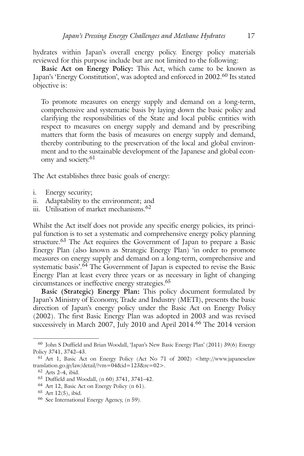hydrates within Japan's overall energy policy. Energy policy materials reviewed for this purpose include but are not limited to the following:

**Basic Act on Energy Policy:** This Act, which came to be known as Japan's 'Energy Constitution', was adopted and enforced in 2002.<sup>60</sup> Its stated objective is:

To promote measures on energy supply and demand on a long-term, comprehensive and systematic basis by laying down the basic policy and clarifying the responsibilities of the State and local public entities with respect to measures on energy supply and demand and by prescribing matters that form the basis of measures on energy supply and demand, thereby contributing to the preservation of the local and global environment and to the sustainable development of the Japanese and global economy and society. 61

The Act establishes three basic goals of energy:

- i. Energy security;
- ii. Adaptability to the environment; and
- iii. Utilisation of market mechanisms.<sup>62</sup>

Whilst the Act itself does not provide any specific energy policies, its principal function is to set a systematic and comprehensive energy policy planning structure.<sup>63</sup> The Act requires the Government of Japan to prepare a Basic Energy Plan (also known as Strategic Energy Plan) 'in order to promote measures on energy supply and demand on a long-term, comprehensive and systematic basis'. <sup>64</sup> The Government of Japan is expected to revise the Basic Energy Plan at least every three years or as necessary in light of changing circumstances or ineffective energy strategies. 65

**Basic (Strategic) Energy Plan:** This policy document formulated by Japan's Ministry of Economy, Trade and Industry (METI), presents the basic direction of Japan's energy policy under the Basic Act on Energy Policy (2002). The first Basic Energy Plan was adopted in 2003 and was revised successively in March 2007, July 2010 and April 2014. <sup>66</sup> The 2014 version

<sup>60</sup> John S Duffield and Brian Woodall, 'Japan's New Basic Energy Plan' (2011) 39(6) Energy Policy 3741, 3742–43.

<sup>61</sup> Art 1, Basic Act on Energy Policy (Act No 71 of 2002) <http://www.japaneselaw translation.go.jp/law/detail/?vm=04&id=123&re=02>.

<sup>62</sup> Arts 2–4, ibid.

<sup>63</sup> Duffield and Woodall, (n 60) 3741, 3741–42.

<sup>64</sup> Art 12, Basic Act on Energy Policy (n 61).

<sup>65</sup> Art 12(5), ibid.

<sup>66</sup> See International Energy Agency, (n 59).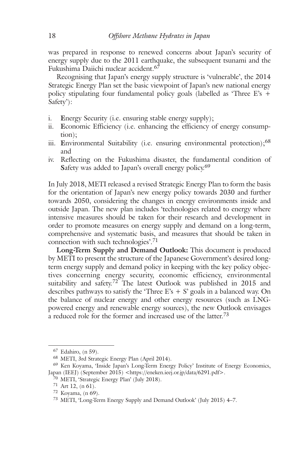was prepared in response to renewed concerns about Japan's security of energy supply due to the 2011 earthquake, the subsequent tsunami and the Fukushima Daiichi nuclear accident. 67

Recognising that Japan's energy supply structure is 'vulnerable', the 2014 Strategic Energy Plan set the basic viewpoint of Japan's new national energy policy stipulating four fundamental policy goals (labelled as 'Three E's + Safety'):

- i. **E**nergy Security (i.e. ensuring stable energy supply);
- ii. **E**conomic Efficiency (i.e. enhancing the efficiency of energy consumption);
- iii. **E**nvironmental Suitability (i.e. ensuring environmental protection);<sup>68</sup> and
- iv. Reflecting on the Fukushima disaster, the fundamental condition of **S**afety was added to Japan's overall energy policy. 69

In July 2018, METI released a revised Strategic Energy Plan to form the basis for the orientation of Japan's new energy policy towards 2030 and further towards 2050, considering the changes in energy environments inside and outside Japan. The new plan includes 'technologies related to energy where intensive measures should be taken for their research and development in order to promote measures on energy supply and demand on a long-term, comprehensive and systematic basis, and measures that should be taken in connection with such technologies'. 71

**Long-Term Supply and Demand Outlook:** This document is produced by METI to present the structure of the Japanese Government's desired longterm energy supply and demand policy in keeping with the key policy objectives concerning energy security, economic efficiency, environmental suitability and safety.<sup>72</sup> The latest Outlook was published in 2015 and describes pathways to satisfy the 'Three E's  $+ S'$  goals in a balanced way. On the balance of nuclear energy and other energy resources (such as LNGpowered energy and renewable energy sources), the new Outlook envisages a reduced role for the former and increased use of the latter.<sup>73</sup>

<sup>67</sup> Edahiro, (n 59).

<sup>68</sup> METI, 3rd Strategic Energy Plan (April 2014).

<sup>69</sup> Ken Koyama, 'Inside Japan's Long-Term Energy Policy' Institute of Energy Economics, Japan (IEEJ) (September 2015) <https://eneken.ieej.or.jp/data/6291.pdf>.

<sup>70</sup> METI, 'Strategic Energy Plan' (July 2018).

 $71$  Art 12, (n 61).

<sup>72</sup> Koyama, (n 69).

<sup>73</sup> METI, 'Long-Term Energy Supply and Demand Outlook' (July 2015) 4–7.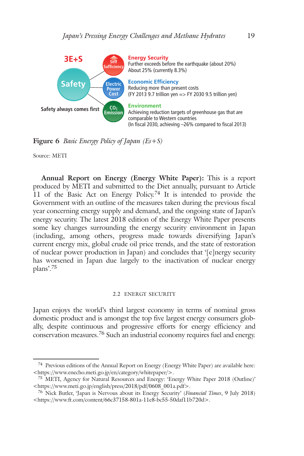

**Figure 6** *Basic Energy Policy of Japan (Es+S)*

Source: METI

**Annual Report on Energy (Energy White Paper):** This is a report produced by METI and submitted to the Diet annually, pursuant to Article 11 of the Basic Act on Energy Policy.<sup>74</sup> It is intended to provide the Government with an outline of the measures taken during the previous fiscal year concerning energy supply and demand, and the ongoing state of Japan's energy security. The latest 2018 edition of the Energy White Paper presents some key changes surrounding the energy security environment in Japan (including, among others, progress made towards diversifying Japan's current energy mix, global crude oil price trends, and the state of restoration of nuclear power production in Japan) and concludes that '[e]nergy security has worsened in Japan due largely to the inactivation of nuclear energy plans'. 75

#### 2.2 ENERGY SECURITY

Japan enjoys the world's third largest economy in terms of nominal gross domestic product and is amongst the top five largest energy consumers globally, despite continuous and progressive efforts for energy efficiency and conservation measures. <sup>76</sup> Such an industrial economy requires fuel and energy.

<sup>74</sup> Previous editions of the Annual Report on Energy (Energy White Paper) are available here: <https://www.enecho.meti.go.jp/en/category/whitepaper/>.

<sup>75</sup> METI, Agency for Natural Resources and Energy: 'Energy White Paper 2018 (Outline)' <https://www.meti.go.jp/english/press/2018/pdf/0608\_001a.pdf>.

<sup>76</sup> Nick Butler, 'Japan is Nervous about its Energy Security' (*Financial Times*, 9 July 2018) <https://www.ft.com/content/66c37158-801a-11e8-bc55-50daf11b720d>.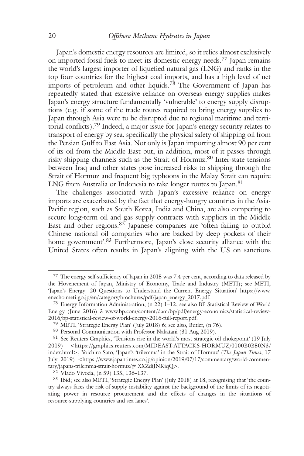Japan's domestic energy resources are limited, so it relies almost exclusively on imported fossil fuels to meet its domestic energy needs. <sup>77</sup> Japan remains the world's largest importer of liquefied natural gas (LNG) and ranks in the top four countries for the highest coal imports, and has a high level of net imports of petroleum and other liquids. <sup>78</sup> The Government of Japan has repeatedly stated that excessive reliance on overseas energy supplies makes Japan's energy structure fundamentally 'vulnerable' to energy supply disruptions (e.g. if some of the trade routes required to bring energy supplies to Japan through Asia were to be disrupted due to regional maritime and territorial conflicts). <sup>79</sup> Indeed, a major issue for Japan's energy security relates to transport of energy by sea, specifically the physical safety of shipping oil from the Persian Gulf to East Asia. Not only is Japan importing almost 90 per cent of its oil from the Middle East but, in addition, most of it passes through risky shipping channels such as the Strait of Hormuz. <sup>80</sup> Inter-state tensions between Iraq and other states pose increased risks to shipping through the Strait of Hormuz and frequent big typhoons in the Malay Strait can require LNG from Australia or Indonesia to take longer routes to Japan. 81

The challenges associated with Japan's excessive reliance on energy imports are exacerbated by the fact that energy-hungry countries in the Asia-Pacific region, such as South Korea, India and China, are also competing to secure long-term oil and gas supply contracts with suppliers in the Middle East and other regions. <sup>82</sup> Japanese companies are 'often failing to outbid Chinese national oil companies who are backed by deep pockets of their home government'.<sup>83</sup> Furthermore, Japan's close security alliance with the United States often results in Japan's aligning with the US on sanctions

<sup>77</sup> The energy self-sufficiency of Japan in 2015 was 7.4 per cent, according to data released by the Hovenement of Japan, Ministry of Economy, Trade and Industry (METI); see METI, 'Japan's Energy: 20 Questions to Understand the Current Energy Situation' https://www. enecho.meti.go.jp/en/category/brochures/pdf/japan\_energy\_2017.pdf.

<sup>78</sup> Energy Information Administration, (n 22) 1–12; see also BP Statistical Review of World Energy (June 2016) 3 www.bp.com/content/dam/bp/pdf/energy-economics/statistical-review-2016/bp-statistical-review-of-world-energy-2016-full-report.pdf.

<sup>79</sup> METI, 'Strategic Energy Plan' (July 2018) 6; see also, Butler, (n 76).

<sup>80</sup> Personal Communication with Professor Nakatani (31 Aug 2019).

<sup>&</sup>lt;sup>81</sup> See Reuters Graphics, 'Tensions rise in the world's most strategic oil chokepoint' (19 July 2019) <https://graphics.reuters.com/MIDEAST-ATTACKS-HORMUZ/0100B0B50N3/ index.html>; Yoichiro Sato, 'Japan's 'trilemma' in the Strait of Hormuz' (*The Japan Times*, 17 July 2019) <https://www.japantimes.co.jp/opinion/2019/07/17/commentary/world-commentary/japans-trilemma-strait-hormuz/#.XXZdiJNKiqQ>.

<sup>82</sup> Vlado Vivoda, (n 59) 135, 136–137.

<sup>83</sup> Ibid; see also METI, 'Strategic Energy Plan' (July 2018) at 18, recognising that 'the country always faces the risk of supply instability against the background of the limits of its negotiating power in resource procurement and the effects of changes in the situations of resource-supplying countries and sea lanes'.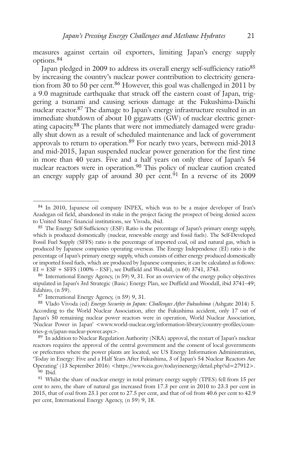measures against certain oil exporters, limiting Japan's energy supply options. 84

Japan pledged in 2009 to address its overall energy self-sufficiency ratio<sup>85</sup> by increasing the country's nuclear power contribution to electricity generation from 30 to 50 per cent. <sup>86</sup> However, this goal was challenged in 2011 by a 9.0 magnitude earthquake that struck off the eastern coast of Japan, triggering a tsunami and causing serious damage at the Fukushima-Daiichi nuclear reactor. <sup>87</sup> The damage to Japan's energy infrastructure resulted in an immediate shutdown of about 10 gigawatts (GW) of nuclear electric generating capacity.<sup>88</sup> The plants that were not immediately damaged were gradually shut down as a result of scheduled maintenance and lack of government approvals to return to operation.<sup>89</sup> For nearly two years, between mid-2013 and mid-2015, Japan suspended nuclear power generation for the first time in more than 40 years. Five and a half years on only three of Japan's 54 nuclear reactors were in operation.<sup>90</sup> This policy of nuclear caution created an energy supply gap of around 30 per cent.<sup>91</sup> In a reverse of its 2009

89 In addition to Nuclear Regulation Authority (NRA) approval, the restart of Japan's nuclear reactors requires the approval of the central government and the consent of local governments or prefectures where the power plants are located, see US Energy Information Administration, 'Today in Energy: Five and a Half Years After Fukushima, 3 of Japan's 54 Nuclear Reactors Are Operating' (13 September 2016) <https://www.eia.gov/todayinenergy/detail.php?id=27912>.

<sup>84</sup> In 2010, Japanese oil company INPEX, which was to be a major developer of Iran's Azadegan oil field, abandoned its stake in the project facing the prospect of being denied access to United States' financial institutions, see Vivoda, ibid.

<sup>85</sup> The Energy Self-Sufficiency (ESF) Ratio is the percentage of Japan's primary energy supply, which is produced domestically (nuclear, renewable energy and fossil fuels). The Self-Developed Fossil Fuel Supply (SFFS) ratio is the percentage of imported coal, oil and natural gas, which is produced by Japanese companies operating overseas. The Energy Independence (EI) ratio is the percentage of Japan's primary energy supply, which consists of either energy produced domestically or imported fossil fuels, which are produced by Japanese companies; it can be calculated as follows:  $EI = ESF + SFFS (100\% - ESF),$  see Duffield and Woodall, (n 60) 3741, 3743.

<sup>86</sup> International Energy Agency, (n 59) 9, 31. For an overview of the energy policy objectives stipulated in Japan's 3rd Strategic (Basic) Energy Plan, see Duffield and Woodall, ibid 3741–49; Edahiro, (n 59).

<sup>87</sup> International Energy Agency, (n 59) 9, 31.

<sup>88</sup> Vlado Vivoda (ed) *Energy Security in Japan: Challenges After Fukushima* (Ashgate 2014) 5. According to the World Nuclear Association, after the Fukushima accident, only 17 out of Japan's 50 remaining nuclear power reactors were in operation, World Nuclear Association, 'Nuclear Power in Japan' <www.world-nuclear.org/information-library/country-profiles/countries-g-n/japan-nuclear-power.aspx>.

<sup>&</sup>lt;sup>90</sup> Ibid.

<sup>&</sup>lt;sup>91</sup> Whilst the share of nuclear energy in total primary energy supply (TPES) fell from 15 per cent to zero, the share of natural gas increased from 17.3 per cent in 2010 to 23.3 per cent in 2015, that of coal from 23.1 per cent to 27.5 per cent, and that of oil from 40.6 per cent to 42.9 per cent, International Energy Agency, (n 59) 9, 18.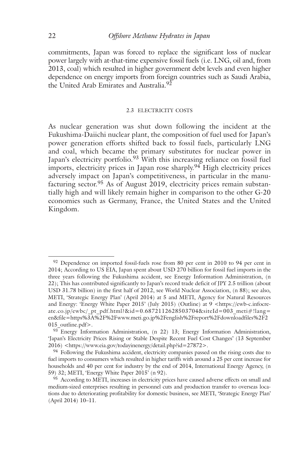commitments, Japan was forced to replace the significant loss of nuclear power largely with at-that-time expensive fossil fuels (i.e. LNG, oil and, from 2013, coal) which resulted in higher government debt levels and even higher dependence on energy imports from foreign countries such as Saudi Arabia, the United Arab Emirates and Australia.<sup>92</sup>

#### 2.3 ELECTRICITY COSTS

As nuclear generation was shut down following the incident at the Fukushima-Daiichi nuclear plant, the composition of fuel used for Japan's power generation efforts shifted back to fossil fuels, particularly LNG and coal, which became the primary substitutes for nuclear power in Japan's electricity portfolio.<sup>93</sup> With this increasing reliance on fossil fuel imports, electricity prices in Japan rose sharply. <sup>94</sup> High electricity prices adversely impact on Japan's competitiveness, in particular in the manufacturing sector. <sup>95</sup> As of August 2019, electricity prices remain substantially high and will likely remain higher in comparison to the other G-20 economies such as Germany, France, the United States and the United Kingdom.

<sup>&</sup>lt;sup>92</sup> Dependence on imported fossil-fuels rose from 80 per cent in 2010 to 94 per cent in 2014; According to US EIA, Japan spent about USD 270 billion for fossil fuel imports in the three years following the Fukushima accident, see Energy Information Administration, (n 22); This has contributed significantly to Japan's record trade deficit of JPY 2.5 trillion (about USD 31.78 billion) in the first half of 2012, see World Nuclear Association, (n 88); see also, METI, 'Strategic Energy Plan' (April 2014) at 5 and METI, Agency for Natural Resources and Energy: 'Energy White Paper 2015' (July 2015) (Outline) at 9 <https://ewb-c.infocreate.co.jp/ewbc/\_pt\_pdf.html?&id=0.6872112628503704&siteId=003\_meti#!lang= en&file=https%3A%2F%2Fwww.meti.go.jp%2Fenglish%2Freport%2Fdownloadfiles%2F2 015 outline.pdf>.

<sup>93</sup> Energy Information Administration, (n 22) 13; Energy Information Administration, 'Japan's Electricity Prices Rising or Stable Despite Recent Fuel Cost Changes' (13 September 2016) <https://www.eia.gov/todayinenergy/detail.php?id=27872>.

<sup>&</sup>lt;sup>94</sup> Following the Fukushima accident, electricity companies passed on the rising costs due to fuel imports to consumers which resulted in higher tariffs with around a 25 per cent increase for households and 40 per cent for industry by the end of 2014, International Energy Agency, (n 59) 32; METI, 'Energy White Paper 2015' (n 92).

<sup>95</sup> According to METI, increases in electricity prices have caused adverse effects on small and medium-sized enterprises resulting in personnel cuts and production transfer to overseas locations due to deteriorating profitability for domestic business, see METI, 'Strategic Energy Plan' (April 2014) 10–11.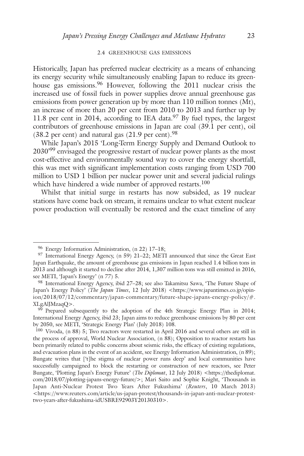#### 2.4 GREENHOUSE GAS EMISSIONS

Historically, Japan has preferred nuclear electricity as a means of enhancing its energy security while simultaneously enabling Japan to reduce its greenhouse gas emissions. <sup>96</sup> However, following the 2011 nuclear crisis the increased use of fossil fuels in power supplies drove annual greenhouse gas emissions from power generation up by more than 110 million tonnes (Mt), an increase of more than 20 per cent from 2010 to 2013 and further up by 11.8 per cent in 2014, according to IEA data.<sup>97</sup> By fuel types, the largest contributors of greenhouse emissions in Japan are coal (39.1 per cent), oil  $(38.2 \text{ per cent})$  and natural gas  $(21.9 \text{ per cent})$ .<sup>98</sup>

While Japan's 2015 'Long-Term Energy Supply and Demand Outlook to 2030<sup>,99</sup> envisaged the progressive restart of nuclear power plants as the most cost-effective and environmentally sound way to cover the energy shortfall, this was met with significant implementation costs ranging from USD 700 million to USD 1 billion per nuclear power unit and several judicial rulings which have hindered a wide number of approved restarts. 100

Whilst that initial surge in restarts has now subsided, as 19 nuclear stations have come back on stream, it remains unclear to what extent nuclear power production will eventually be restored and the exact timeline of any

<sup>96</sup> Energy Information Administration, (n 22) 17–18;

<sup>97</sup> International Energy Agency, (n 59) 21–22; METI announced that since the Great East Japan Earthquake, the amount of greenhouse gas emissions in Japan reached 1.4 billion tons in 2013 and although it started to decline after 2014, 1,307 million tons was still emitted in 2016, see METI, 'Japan's Energy' (n 77) 5.

<sup>98</sup> International Energy Agency, ibid 27–28; see also Takamitsu Sawa, 'The Future Shape of Japan's Energy Policy' (*The Japan Times*, 12 July 2018) <https://www.japantimes.co.jp/opinion/2018/07/12/commentary/japan-commentary/future-shape-japans-energy-policy/#. XLgAlJMzaqQ>.

<sup>&</sup>lt;sup>99</sup> Prepared subsequently to the adoption of the 4th Strategic Energy Plan in 2014; International Energy Agency, ibid 23; Japan aims to reduce greenhouse emissions by 80 per cent by 2050, see METI, 'Strategic Energy Plan' (July 2018) 108.

<sup>100</sup> Vivoda, (n 88) 5; Two reactors were restarted in April 2016 and several others are still in the process of approval, World Nuclear Association, (n 88); Opposition to reactor restarts has been primarily related to public concerns about seismic risks, the efficacy of existing regulations, and evacuation plans in the event of an accident, see Energy Information Administration, (n 89); Bungate writes that ['t]he stigma of nuclear power runs deep' and local communities have successfully campaigned to block the restarting or construction of new reactors, see Peter Bungate, 'Plotting Japan's Energy Future' (*The Diplomat*, 12 July 2018) <https://thediplomat. com/2018/07/plotting-japans-energy-future/>; Mari Saito and Sophie Knight, 'Thousands in Japan Anti-Nuclear Protest Two Years After Fukushima' (*Reuters*, 10 March 2013) <https://www.reuters.com/article/us-japan-protest/thousands-in-japan-anti-nuclear-protesttwo-years-after-fukushima-idUSBRE92903Y20130310>.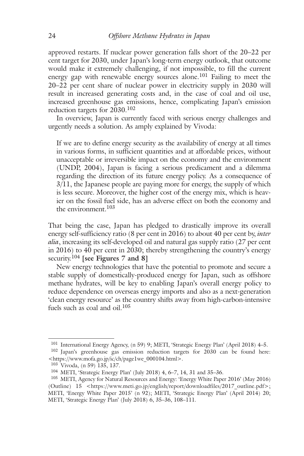approved restarts. If nuclear power generation falls short of the 20–22 per cent target for 2030, under Japan's long-term energy outlook, that outcome would make it extremely challenging, if not impossible, to fill the current energy gap with renewable energy sources alone. <sup>101</sup> Failing to meet the 20–22 per cent share of nuclear power in electricity supply in 2030 will result in increased generating costs and, in the case of coal and oil use, increased greenhouse gas emissions, hence, complicating Japan's emission reduction targets for 2030. 102

In overview, Japan is currently faced with serious energy challenges and urgently needs a solution. As amply explained by Vivoda:

If we are to define energy security as the availability of energy at all times in various forms, in sufficient quantities and at affordable prices, without unacceptable or irreversible impact on the economy and the environment (UNDP, 2004), Japan is facing a serious predicament and a dilemma regarding the direction of its future energy policy. As a consequence of 3/11, the Japanese people are paying more for energy, the supply of which is less secure. Moreover, the higher cost of the energy mix, which is heavier on the fossil fuel side, has an adverse effect on both the economy and the environment. 103

That being the case, Japan has pledged to drastically improve its overall energy self-sufficiency ratio (8 per cent in 2016) to about 40 per cent by, *inter alia*, increasing its self-developed oil and natural gas supply ratio (27 per cent in 2016) to 40 per cent in 2030; thereby strengthening the country's energy security. <sup>104</sup> **[see Figures 7 and 8]**

New energy technologies that have the potential to promote and secure a stable supply of domestically-produced energy for Japan, such as offshore methane hydrates, will be key to enabling Japan's overall energy policy to reduce dependence on overseas energy imports and also as a next-generation 'clean energy resource' as the country shifts away from high-carbon-intensive fuels such as coal and oil. 105

<sup>101</sup> International Energy Agency, (n 59) 9; METI, 'Strategic Energy Plan' (April 2018) 4–5.

<sup>102</sup> Japan's greenhouse gas emission reduction targets for 2030 can be found here: <https://www.mofa.go.jp/ic/ch/page1we\_000104.html>.

<sup>103</sup> Vivoda, (n 59) 135, 137.

<sup>104</sup> METI, 'Strategic Energy Plan' (July 2018) 4, 6–7, 14, 31 and 35–36.

<sup>105</sup> METI, Agency for Natural Resources and Energy: 'Energy White Paper 2016' (May 2016) (Outline) 15 <https://www.meti.go.jp/english/report/downloadfiles/2017\_outline.pdf>; METI, 'Energy White Paper 2015' (n 92); METI, 'Strategic Energy Plan' (April 2014) 20; METI, 'Strategic Energy Plan' (July 2018) 6, 35–36, 108–111.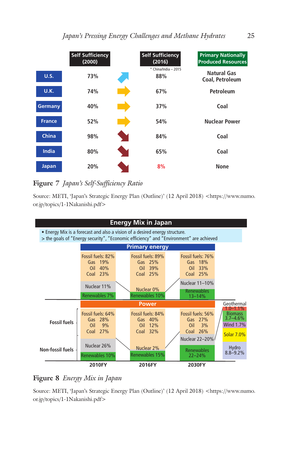

# **Figure 7** *Japan's Self-Sufficiency Ratio*

Source: METI, 'Japan's Strategic Energy Plan (Outline)' (12 April 2018) <https://www.numo. or.jp/topics/1-1Nakanishi.pdf>



# **Figure 8** *Energy Mix in Japan*

Source: METI, 'Japan's Strategic Energy Plan (Outline)' (12 April 2018) <https://www.numo. or.jp/topics/1-1Nakanishi.pdf>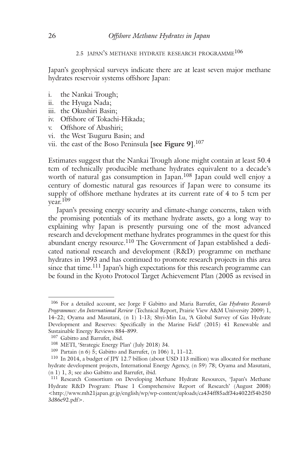# 2.5 JAPAN'S METHANE HYDRATE RESEARCH PROGRAMME106

Japan's geophysical surveys indicate there are at least seven major methane hydrates reservoir systems offshore Japan:

- i. the Nankai Trough;
- ii. the Hyuga Nada;
- iii. the Okushiri Basin;
- iv. Offshore of Tokachi-Hikada;
- v. Offshore of Abashiri;
- vi. the West Tsuguru Basin; and
- vii. the east of the Boso Peninsula **[see Figure 9]**. 107

Estimates suggest that the Nankai Trough alone might contain at least 50.4 tcm of technically producible methane hydrates equivalent to a decade's worth of natural gas consumption in Japan. <sup>108</sup> Japan could well enjoy a century of domestic natural gas resources if Japan were to consume its supply of offshore methane hydrates at its current rate of 4 to 5 tcm per year. 109

Japan's pressing energy security and climate-change concerns, taken with the promising potentials of its methane hydrate assets, go a long way to explaining why Japan is presently pursuing one of the most advanced research and development methane hydrates programmes in the quest for this abundant energy resource.<sup>110</sup> The Government of Japan established a dedicated national research and development (R&D) programme on methane hydrates in 1993 and has continued to promote research projects in this area since that time. <sup>111</sup> Japan's high expectations for this research programme can be found in the Kyoto Protocol Target Achievement Plan (2005 as revised in

<sup>106</sup> For a detailed account, see Jorge F Gabitto and Maria Barrufet, *Gas Hydrates Research Programmes: An International Review* (Technical Report, Prairie View A&M University 2009) 1, 14–22; Oyama and Masutani, (n 1) 1-13; Shyi-Min Lu, 'A Global Survey of Gas Hydrate Development and Reserves: Specifically in the Marine Field' (2015) 41 Renewable and Sustainable Energy Reviews 884–899.

<sup>107</sup> Gabitto and Barrufet, ibid.

<sup>108</sup> METI, 'Strategic Energy Plan' (July 2018) 34.

<sup>109</sup> Partain (n 6) 5; Gabitto and Barrufet, (n 106) 1, 11–12.

<sup>110</sup> In 2014, a budget of JPY 12.7 billion (about USD 113 million) was allocated for methane hydrate development projects, International Energy Agency, (n 59) 78; Oyama and Masutani, (n 1) 1, 3; see also Gabitto and Barrufet, ibid.

<sup>111</sup> Research Consortium on Developing Methane Hydrate Resources, 'Japan's Methane Hydrate R&D Program: Phase 1 Comprehensive Report of Research' (August 2008) <http://www.mh21japan.gr.jp/english/wp/wp-content/uploads/ca434ff85adf34a4022f54b250 3d86e92.pdf>.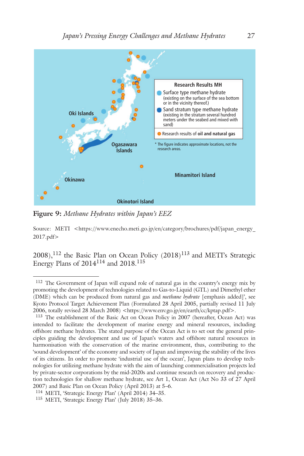

**Figure 9:** *Methane Hydrates within Japan's EEZ*

Source: METI <https://www.enecho.meti.go.jp/en/category/brochures/pdf/japan\_energy\_ 2017.pdf>

 $(2008)$ ,  $^{112}$  the Basic Plan on Ocean Policy  $(2018)$ <sup>113</sup> and METI's Strategic Energy Plans of 2014<sup>114</sup> and 2018.<sup>115</sup>

<sup>112</sup> The Government of Japan will expand role of natural gas in the country's energy mix by promoting the development of technologies related to Gas-to-Liquid (GTL) and Dimethyl ether (DME) which can be produced from natural gas and *methane hydrate* [emphasis added]', see Kyoto Protocol Target Achievement Plan (Formulated 28 April 2005, partially revised 11 July 2006, totally revised 28 March 2008) <https://www.env.go.jp/en/earth/cc/kptap.pdf>.

<sup>113</sup> The establishment of the Basic Act on Ocean Policy in 2007 (hereafter, Ocean Act) was intended to facilitate the development of marine energy and mineral resources, including offshore methane hydrates. The stated purpose of the Ocean Act is to set out the general principles guiding the development and use of Japan's waters and offshore natural resources in harmonisation with the conservation of the marine environment, thus, contributing to the 'sound development' of the economy and society of Japan and improving the stability of the lives of its citizens. In order to promote 'industrial use of the ocean', Japan plans to develop technologies for utilizing methane hydrate with the aim of launching commercialisation projects led by private-sector corporations by the mid-2020s and continue research on recovery and production technologies for shallow methane hydrate, see Art 1, Ocean Act (Act No 33 of 27 April 2007) and Basic Plan on Ocean Policy (April 2013) at 5–6.

<sup>114</sup> METI, 'Strategic Energy Plan' (April 2014) 34–35.

<sup>115</sup> METI, 'Strategic Energy Plan' (July 2018) 35–36.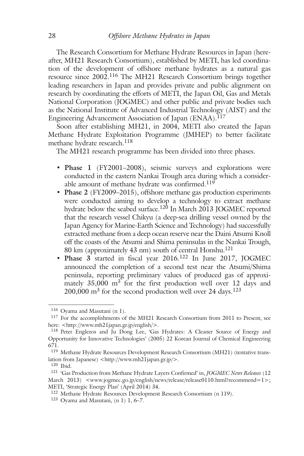The Research Consortium for Methane Hydrate Resources in Japan (hereafter, MH21 Research Consortium), established by METI, has led coordination of the development of offshore methane hydrates as a natural gas resource since 2002.<sup>116</sup> The MH21 Research Consortium brings together leading researchers in Japan and provides private and public alignment on research by coordinating the efforts of METI, the Japan Oil, Gas and Metals National Corporation (JOGMEC) and other public and private bodies such as the National Institute of Advanced Industrial Technology (AIST) and the Engineering Advancement Association of Japan (ENAA). 117

Soon after establishing MH21, in 2004, METI also created the Japan Methane Hydrate Exploitation Programme (JMHEP) to better facilitate methane hydrate research. 118

The MH21 research programme has been divided into three phases.

- **• Phase 1** (FY2001–2008), seismic surveys and explorations were conducted in the eastern Nankai Trough area during which a considerable amount of methane hydrate was confirmed.<sup>119</sup>
- **Phase 2** (FY2009–2015), offshore methane gas production experiments were conducted aiming to develop a technology to extract methane hydrate below the seabed surface.<sup>120</sup> In March 2013 JOGMEC reported that the research vessel Chikyu (a deep-sea drilling vessel owned by the Japan Agency for Marine-Earth Science and Technology) had successfully extracted methane from a deep ocean reserve near the Daini Atsumi Knoll off the coasts of the Atsumi and Shima peninsulas in the Nankai Trough, 80 km (approximately 43 nm) south of central Honshu. 121
- **Phase 3** started in fiscal year 2016. <sup>122</sup> In June 2017, JOGMEC announced the completion of a second test near the Atsumi/Shima peninsula, reporting preliminary values of produced gas of approximately 35,000 m<sup>3</sup> for the first production well over 12 days and  $200,000 \text{ m}^3$  for the second production well over 24 days.<sup>123</sup>

<sup>116</sup> Oyama and Masutani (n 1).

<sup>117</sup> For the accomplishments of the MH21 Research Consortium from 2011 to Present, see here: <http://www.mh21japan.gr.jp/english/>.

<sup>118</sup> Peter Englezos and Ju Dong Lee, 'Gas Hydrates: A Cleaner Source of Energy and Opportunity for Innovative Technologies' (2005) 22 Korean Journal of Chemical Engineering 671.

<sup>119</sup> Methane Hydrate Resources Development Research Consortium (MH21) (tentative translation from Japanese) <http://www.mh21japan.gr.jp/>.

<sup>120</sup> Ibid.

<sup>121</sup> 'Gas Production from Methane Hydrate Layers Confirmed' in, *JOGMEC News Releases* (12 March 2013) <www.jogmec.go.jp/english/news/release/release0110.html?recommend=1>; METI, 'Strategic Energy Plan' (April 2014) 34.

<sup>122</sup> Methane Hydrate Resources Development Research Consortium (n 119).

<sup>&</sup>lt;sup>123</sup> Oyama and Masutani,  $(n 1)$  1, 6–7.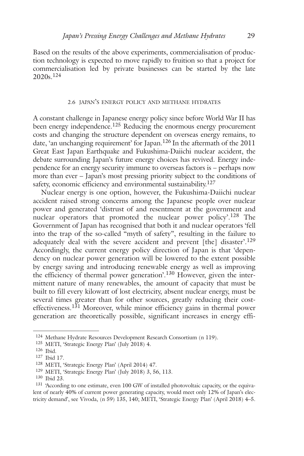Based on the results of the above experiments, commercialisation of production technology is expected to move rapidly to fruition so that a project for commercialisation led by private businesses can be started by the late 2020s. 124

### 2.6 JAPAN'S ENERGY POLICY AND METHANE HYDRATES

A constant challenge in Japanese energy policy since before World War II has been energy independence.<sup>125</sup> Reducing the enormous energy procurement costs and changing the structure dependent on overseas energy remains, to date, 'an unchanging requirement' for Japan. <sup>126</sup> In the aftermath of the 2011 Great East Japan Earthquake and Fukushima-Daiichi nuclear accident, the debate surrounding Japan's future energy choices has revived. Energy independence for an energy security immune to overseas factors is – perhaps now more than ever – Japan's most pressing priority subject to the conditions of safety, economic efficiency and environmental sustainability.<sup>127</sup>

Nuclear energy is one option, however, the Fukushima-Daiichi nuclear accident raised strong concerns among the Japanese people over nuclear power and generated 'distrust of and resentment at the government and nuclear operators that promoted the nuclear power policy'.<sup>128</sup> The Government of Japan has recognised that both it and nuclear operators 'fell into the trap of the so-called "myth of safety", resulting in the failure to adequately deal with the severe accident and prevent [the] disaster'.<sup>129</sup> Accordingly, the current energy policy direction of Japan is that 'dependency on nuclear power generation will be lowered to the extent possible by energy saving and introducing renewable energy as well as improving the efficiency of thermal power generation'.<sup>130</sup> However, given the intermittent nature of many renewables, the amount of capacity that must be built to fill every kilowatt of lost electricity, absent nuclear energy, must be several times greater than for other sources, greatly reducing their costeffectiveness.<sup>131</sup> Moreover, while minor efficiency gains in thermal power generation are theoretically possible, significant increases in energy effi-

<sup>124</sup> Methane Hydrate Resources Development Research Consortium (n 119).

<sup>125</sup> METI, 'Strategic Energy Plan' (July 2018) 4.

<sup>126</sup> Ibid.

<sup>127</sup> Ibid 17.

<sup>128</sup> METI, 'Strategic Energy Plan' (April 2014) 47.

<sup>129</sup> METI, 'Strategic Energy Plan' (July 2018) 3, 56, 113.

<sup>130</sup> Ibid 23.

<sup>131</sup> 'According to one estimate, even 100 GW of installed photovoltaic capacity, or the equivalent of nearly 40% of current power generating capacity, would meet only 12% of Japan's electricity demand', see Vivoda, (n 59) 135, 140; METI, 'Strategic Energy Plan' (April 2018) 4–5.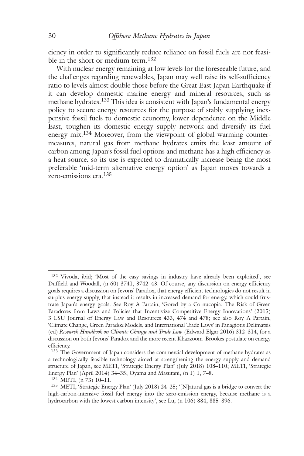ciency in order to significantly reduce reliance on fossil fuels are not feasible in the short or medium term. 132

With nuclear energy remaining at low levels for the foreseeable future, and the challenges regarding renewables, Japan may well raise its self-sufficiency ratio to levels almost double those before the Great East Japan Earthquake if it can develop domestic marine energy and mineral resources, such as methane hydrates. <sup>133</sup> This idea is consistent with Japan's fundamental energy policy to secure energy resources for the purpose of stably supplying inexpensive fossil fuels to domestic economy, lower dependence on the Middle East, toughen its domestic energy supply network and diversify its fuel energy mix.<sup>134</sup> Moreover, from the viewpoint of global warming countermeasures, natural gas from methane hydrates emits the least amount of carbon among Japan's fossil fuel options and methane has a high efficiency as a heat source, so its use is expected to dramatically increase being the most preferable 'mid-term alternative energy option' as Japan moves towards a zero-emissions era. 135

<sup>132</sup> Vivoda, ibid; 'Most of the easy savings in industry have already been exploited', see Duffield and Woodall, (n 60) 3741, 3742–43. Of course, any discussion on energy efficiency goals requires a discussion on Jevons' Paradox, that energy efficient technologies do not result in surplus energy supply, that instead it results in increased demand for energy, which could frustrate Japan's energy goals. See Roy A Partain, 'Gored by a Cornucopia: The Risk of Green Paradoxes from Laws and Policies that Incentivize Competitive Energy Innovations' (2015) 3 LSU Journal of Energy Law and Resources 433, 474 and 478; see also Roy A Partain, 'Climate Change, Green Paradox Models, and International Trade Laws' in Panagiotis Delimatsis (ed) *Research Handbook on Climate Change and Trade Law* (Edward Elgar 2016) 312–314, for a discussion on both Jevons' Paradox and the more recent Khazzoom–Brookes postulate on energy efficiency.

<sup>133</sup> The Government of Japan considers the commercial development of methane hydrates as a technologically feasible technology aimed at strengthening the energy supply and demand structure of Japan, see METI, 'Strategic Energy Plan' (July 2018) 108–110; METI, 'Strategic Energy Plan' (April 2014) 34–35; Oyama and Masutani, (n 1) 1, 7–8.

<sup>134</sup> METI, (n 73) 10–11.

<sup>135</sup> METI, 'Strategic Energy Plan' (July 2018) 24–25; '[N]atural gas is a bridge to convert the high-carbon-intensive fossil fuel energy into the zero-emission energy, because methane is a hydrocarbon with the lowest carbon intensity', see Lu, (n 106) 884, 885–896.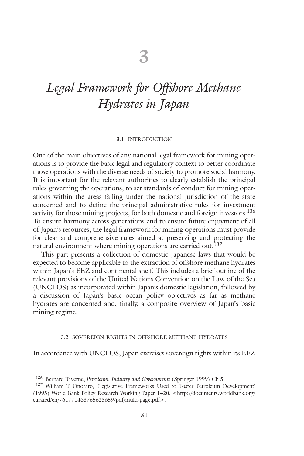# *Legal Framework for Offshore Methane Hydrates in Japan*

#### 3.1 INTRODUCTION

One of the main objectives of any national legal framework for mining operations is to provide the basic legal and regulatory context to better coordinate those operations with the diverse needs of society to promote social harmony. It is important for the relevant authorities to clearly establish the principal rules governing the operations, to set standards of conduct for mining operations within the areas falling under the national jurisdiction of the state concerned and to define the principal administrative rules for investment activity for those mining projects, for both domestic and foreign investors. 136 To ensure harmony across generations and to ensure future enjoyment of all of Japan's resources, the legal framework for mining operations must provide for clear and comprehensive rules aimed at preserving and protecting the natural environment where mining operations are carried out. 137

This part presents a collection of domestic Japanese laws that would be expected to become applicable to the extraction of offshore methane hydrates within Japan's EEZ and continental shelf. This includes a brief outline of the relevant provisions of the United Nations Convention on the Law of the Sea (UNCLOS) as incorporated within Japan's domestic legislation, followed by a discussion of Japan's basic ocean policy objectives as far as methane hydrates are concerned and, finally, a composite overview of Japan's basic mining regime.

#### 3.2 SOVEREIGN RIGHTS IN OFFSHORE METHANE HYDRATES

In accordance with UNCLOS, Japan exercises sovereign rights within its EEZ

<sup>136</sup> Bernard Taverne, *Petroleum, Industry and Governments* (Springer 1999) Ch 5.

<sup>137</sup> William T Onorato, 'Legislative Frameworks Used to Foster Petroleum Development' (1995) World Bank Policy Research Working Paper 1420, <http://documents.worldbank.org/ curated/en/761771468765623659/pdf/multi-page.pdf>.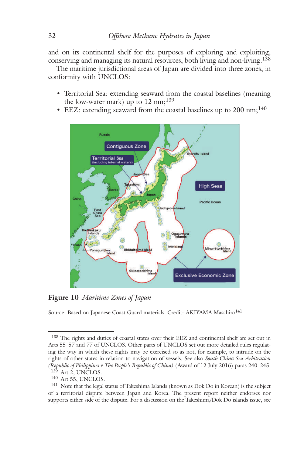and on its continental shelf for the purposes of exploring and exploiting, conserving and managing its natural resources, both living and non-living. 138

The maritime jurisdictional areas of Japan are divided into three zones, in conformity with UNCLOS:

- Territorial Sea: extending seaward from the coastal baselines (meaning the low-water mark) up to  $12 \text{ nm};^{139}$
- EEZ: extending seaward from the coastal baselines up to  $200 \text{ nm};^{140}$



**Figure 10** *Maritime Zones of Japan*

Source: Based on Japanese Coast Guard materials. Credit: AKIYAMA Masahiro<sup>141</sup>

<sup>138</sup> The rights and duties of coastal states over their EEZ and continental shelf are set out in Arts 55–57 and 77 of UNCLOS. Other parts of UNCLOS set out more detailed rules regulating the way in which these rights may be exercised so as not, for example, to intrude on the rights of other states in relation to navigation of vessels. See also *South China Sea Arbitration (Republic of Philippines v The People's Republic of China)* (Award of 12 July 2016) paras 240–245. 139 Art 2, UNCLOS.

<sup>140</sup> Art 55, UNCLOS.

<sup>&</sup>lt;sup>141</sup> Note that the legal status of Takeshima Islands (known as Dok Do in Korean) is the subject of a territorial dispute between Japan and Korea. The present report neither endorses nor supports either side of the dispute. For a discussion on the Takeshima/Dok Do islands issue, see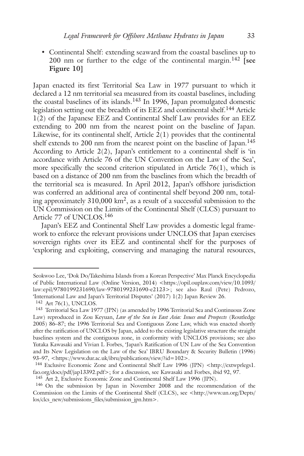• Continental Shelf: extending seaward from the coastal baselines up to 200 nm or further to the edge of the continental margin. <sup>142</sup> **[see Figure 10]**

Japan enacted its first Territorial Sea Law in 1977 pursuant to which it declared a 12 nm territorial sea measured from its coastal baselines, including the coastal baselines of its islands.<sup>143</sup> In 1996, Japan promulgated domestic legislation setting out the breadth of its EEZ and continental shelf. <sup>144</sup> Article 1(2) of the Japanese EEZ and Continental Shelf Law provides for an EEZ extending to 200 nm from the nearest point on the baseline of Japan. Likewise, for its continental shelf, Article  $2(1)$  provides that the continental shelf extends to 200 nm from the nearest point on the baseline of Japan.<sup>145</sup> According to Article 2(2), Japan's entitlement to a continental shelf is 'in accordance with Article 76 of the UN Convention on the Law of the Sea', more specifically the second criterion stipulated in Article  $76(1)$ , which is based on a distance of 200 nm from the baselines from which the breadth of the territorial sea is measured. In April 2012, Japan's offshore jurisdiction was conferred an additional area of continental shelf beyond 200 nm, totaling approximately 310,000 km2, as a result of a successful submission to the UN Commission on the Limits of the Continental Shelf (CLCS) pursuant to Article 77 of UNCLOS. 146

Japan's EEZ and Continental Shelf Law provides a domestic legal framework to enforce the relevant provisions under UNCLOS that Japan exercises sovereign rights over its EEZ and continental shelf for the purposes of 'exploring and exploiting, conserving and managing the natural resources,

Seokwoo Lee, 'Dok Do/Takeshima Islands from a Korean Perspective' Max Planck Encyclopedia of Public International Law (Online Version, 2014) <https://opil.ouplaw.com/view/10.1093/ law:epil/9780199231690/law-9780199231690-e2123>; see also Raul (Pete) Pedrozo, 'International Law and Japan's Territorial Disputes' (2017) 1(2) Japan Review 26.

<sup>142</sup> Art 76(1), UNCLOS.

<sup>143</sup> Territorial Sea Law 1977 (JPN) (as amended by 1996 Territorial Sea and Continuous Zone Law) reproduced in Zou Keyuan, *Law of the Sea in East Asia: Issues and Prospects* (Routledge 2005) 86–87; the 1996 Territorial Sea and Contiguous Zone Law, which was enacted shortly after the ratification of UNCLOS by Japan, added to the existing legislative structure the straight baselines system and the contiguous zone, in conformity with UNCLOS provisions; see also Yutaka Kawasaki and Vivian L Forbes, 'Japan's Ratification of UN Law of the Sea Convention and Its New Legislation on the Law of the Sea' IBRU Boundary & Security Bulletin (1996) 93–97, <https://www.dur.ac.uk/ibru/publications/view/?id=102>.

<sup>144</sup> Exclusive Economic Zone and Continental Shelf Law 1996 (JPN) <http://extwprlegs1. fao.org/docs/pdf/jap13392.pdf>; for a discussion, see Kawasaki and Forbes, ibid 92, 97.

<sup>145</sup> Art 2, Exclusive Economic Zone and Continental Shelf Law 1996 (JPN).

<sup>146</sup> On the submission by Japan in November 2008 and the recommendation of the Commission on the Limits of the Continental Shelf (CLCS), see <http://www.un.org/Depts/ los/clcs\_new/submissions\_files/submission\_jpn.htm>.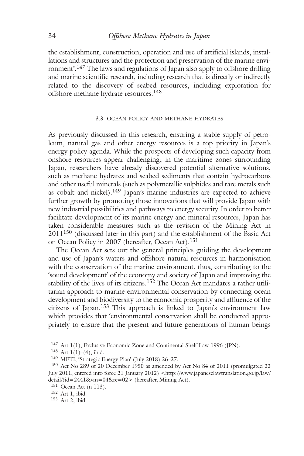the establishment, construction, operation and use of artificial islands, installations and structures and the protection and preservation of the marine environment'. <sup>147</sup> The laws and regulations of Japan also apply to offshore drilling and marine scientific research, including research that is directly or indirectly related to the discovery of seabed resources, including exploration for offshore methane hydrate resources. 148

#### 3.3 OCEAN POLICY AND METHANE HYDRATES

As previously discussed in this research, ensuring a stable supply of petroleum, natural gas and other energy resources is a top priority in Japan's energy policy agenda. While the prospects of developing such capacity from onshore resources appear challenging; in the maritime zones surrounding Japan, researchers have already discovered potential alternative solutions, such as methane hydrates and seabed sediments that contain hydrocarbons and other useful minerals (such as polymetallic sulphides and rare metals such as cobalt and nickel).<sup>149</sup> Japan's marine industries are expected to achieve further growth by promoting those innovations that will provide Japan with new industrial possibilities and pathways to energy security. In order to better facilitate development of its marine energy and mineral resources, Japan has taken considerable measures such as the revision of the Mining Act in  $2011^{150}$  (discussed later in this part) and the establishment of the Basic Act on Ocean Policy in 2007 (hereafter, Ocean Act). 151

The Ocean Act sets out the general principles guiding the development and use of Japan's waters and offshore natural resources in harmonisation with the conservation of the marine environment, thus, contributing to the 'sound development' of the economy and society of Japan and improving the stability of the lives of its citizens.<sup>152</sup> The Ocean Act mandates a rather utilitarian approach to marine environmental conservation by connecting ocean development and biodiversity to the economic prosperity and affluence of the citizens of Japan. <sup>153</sup> This approach is linked to Japan's environment law which provides that 'environmental conservation shall be conducted appropriately to ensure that the present and future generations of human beings

<sup>147</sup> Art 1(1), Exclusive Economic Zone and Continental Shelf Law 1996 (JPN).

<sup>148</sup> Art 1(1)–(4), ibid.

<sup>149</sup> METI, 'Strategic Energy Plan' (July 2018) 26–27.

<sup>150</sup> Act No 289 of 20 December 1950 as amended by Act No 84 of 2011 (promulgated 22 July 2011, entered into force 21 January 2012) <http://www.japaneselawtranslation.go.jp/law/ detail/?id=2441&vm=04&re=02> (hereafter, Mining Act).

<sup>151</sup> Ocean Act (n 113).

<sup>152</sup> Art 1, ibid.

<sup>153</sup> Art 2, ibid.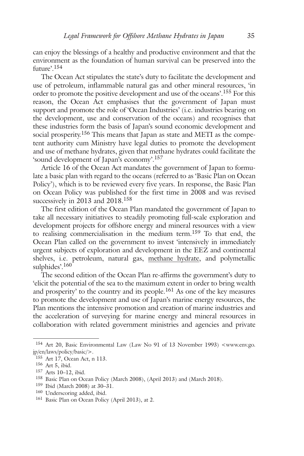can enjoy the blessings of a healthy and productive environment and that the environment as the foundation of human survival can be preserved into the future'. 154

The Ocean Act stipulates the state's duty to facilitate the development and use of petroleum, inflammable natural gas and other mineral resources, 'in order to promote the positive development and use of the oceans'. <sup>155</sup> For this reason, the Ocean Act emphasises that the government of Japan must support and promote the role of 'Ocean Industries' (i.e. industries bearing on the development, use and conservation of the oceans) and recognises that these industries form the basis of Japan's sound economic development and social prosperity. <sup>156</sup> This means that Japan as state and METI as the competent authority cum Ministry have legal duties to promote the development and use of methane hydrates, given that methane hydrates could facilitate the 'sound development of Japan's economy'. 157

Article 16 of the Ocean Act mandates the government of Japan to formulate a basic plan with regard to the oceans (referred to as 'Basic Plan on Ocean Policy'), which is to be reviewed every five years. In response, the Basic Plan on Ocean Policy was published for the first time in 2008 and was revised successively in 2013 and 2018.<sup>158</sup>

The first edition of the Ocean Plan mandated the government of Japan to take all necessary initiatives to steadily promoting full-scale exploration and development projects for offshore energy and mineral resources with a view to realising commercialisation in the medium term. <sup>159</sup> To that end, the Ocean Plan called on the government to invest 'intensively in immediately urgent subjects of exploration and development in the EEZ and continental shelves, i.e. petroleum, natural gas, methane hydrate, and polymetallic sulphides'. 160

The second edition of the Ocean Plan re-affirms the government's duty to 'elicit the potential of the sea to the maximum extent in order to bring wealth and prosperity' to the country and its people.<sup>161</sup> As one of the key measures to promote the development and use of Japan's marine energy resources, the Plan mentions the intensive promotion and creation of marine industries and the acceleration of surveying for marine energy and mineral resources in collaboration with related government ministries and agencies and private

<sup>154</sup> Art 20, Basic Environmental Law (Law No 91 of 13 November 1993) <www.env.go. jp/en/laws/policy/basic/>.

<sup>155</sup> Art 17, Ocean Act, n 113.

<sup>156</sup> Art 5, ibid.

<sup>157</sup> Arts 10–12, ibid.

<sup>158</sup> Basic Plan on Ocean Policy (March 2008), (April 2013) and (March 2018).

<sup>159</sup> Ibid (March 2008) at 30–31.

<sup>160</sup> Underscoring added, ibid.

<sup>161</sup> Basic Plan on Ocean Policy (April 2013), at 2.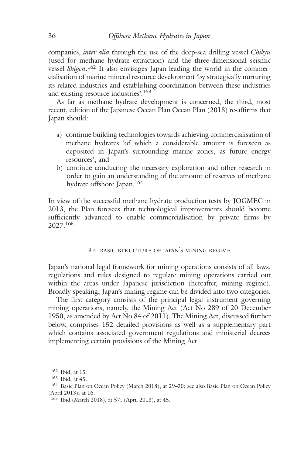companies, *inter alia* through the use of the deep-sea drilling vessel *Chikyu* (used for methane hydrate extraction) and the three-dimensional seismic vessel *Shigen*. <sup>162</sup> It also envisages Japan leading the world in the commercialisation of marine mineral resource development 'by strategically nurturing its related industries and establishing coordination between these industries and existing resource industries'. 163

As far as methane hydrate development is concerned, the third, most recent, edition of the Japanese Ocean Plan Ocean Plan (2018) re-affirms that Japan should:

- a) continue building technologies towards achieving commercialisation of methane hydrates 'of which a considerable amount is foreseen as deposited in Japan's surrounding marine zones, as future energy resources'; and
- b) continue conducting the necessary exploration and other research in order to gain an understanding of the amount of reserves of methane hydrate offshore Japan. 164

In view of the successful methane hydrate production tests by JOGMEC in 2013, the Plan foresees that technological improvements should become sufficiently advanced to enable commercialisation by private firms by 2027. 165

### 3.4 BASIC BTRUCTURE OF JAPAN'S MINING REGIME

Japan's national legal framework for mining operations consists of all laws, regulations and rules designed to regulate mining operations carried out within the areas under Japanese jurisdiction (hereafter, mining regime). Broadly speaking, Japan's mining regime can be divided into two categories.

The first category consists of the principal legal instrument governing mining operations, namely, the Mining Act (Act No 289 of 20 December 1950, as amended by Act No 84 of 2011). The Mining Act, discussed further below, comprises 152 detailed provisions as well as a supplementary part which contains associated government regulations and ministerial decrees implementing certain provisions of the Mining Act.

<sup>162</sup> Ibid, at 15.

<sup>163</sup> Ibid, at 45.

<sup>164</sup> Basic Plan on Ocean Policy (March 2018), at 29–30; see also Basic Plan on Ocean Policy (April 2013), at 16.

<sup>165</sup> Ibid (March 2018), at 57; (April 2013), at 45.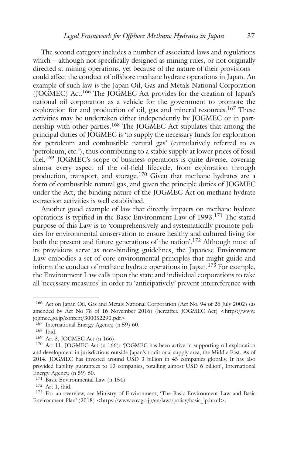The second category includes a number of associated laws and regulations which – although not specifically designed as mining rules, or not originally directed at mining operations, yet because of the nature of their provisions – could affect the conduct of offshore methane hydrate operations in Japan. An example of such law is the Japan Oil, Gas and Metals National Corporation (JOGMEC) Act.<sup>166</sup> The JOGMEC Act provides for the creation of Japan's national oil corporation as a vehicle for the government to promote the exploration for and production of oil, gas and mineral resources.<sup>167</sup> These activities may be undertaken either independently by JOGMEC or in partnership with other parties.<sup>168</sup> The JOGMEC Act stipulates that among the principal duties of JOGMEC is 'to supply the necessary funds for exploration for petroleum and combustible natural gas' (cumulatively referred to as 'petroleum, etc.'), thus contributing to a stable supply at lower prices of fossil fuel.<sup>169</sup> JOGMEC's scope of business operations is quite diverse, covering almost every aspect of the oil-field lifecycle, from exploration through production, transport, and storage.<sup>170</sup> Given that methane hydrates are a form of combustible natural gas, and given the principle duties of JOGMEC under the Act, the binding nature of the JOGMEC Act on methane hydrate extraction activities is well established.

Another good example of law that directly impacts on methane hydrate operations is typified in the Basic Environment Law of 1993. <sup>171</sup> The stated purpose of this Law is to 'comprehensively and systematically promote policies for environmental conservation to ensure healthy and cultured living for both the present and future generations of the nation'. <sup>172</sup> Although most of its provisions serve as non-binding guidelines, the Japanese Environment Law embodies a set of core environmental principles that might guide and inform the conduct of methane hydrate operations in Japan. <sup>173</sup> For example, the Environment Law calls upon the state and individual corporations to take all 'necessary measures' in order to 'anticipatively' prevent interreference with

<sup>166</sup> Act on Japan Oil, Gas and Metals National Corporation (Act No. 94 of 26 July 2002) (as amended by Act No 78 of 16 November 2016) (hereafter, JOGMEC Act) <https://www. jogmec.go.jp/content/300052290.pdf>.

<sup>167</sup> International Energy Agency, (n 59) 60.

<sup>168</sup> Ibid.

<sup>169</sup> Art 3, JOGMEC Act (n 166).

<sup>170</sup> Art 11, JOGMEC Act (n 166); 'JOGMEC has been active in supporting oil exploration and development in jurisdictions outside Japan's traditional supply area, the Middle East. As of 2014, JOGMEC has invested around USD 3 billion in 45 companies globally. It has also provided liability guarantees to 13 companies, totalling almost USD 6 billion', International Energy Agency, (n 59) 60.

<sup>&</sup>lt;sup>171</sup> Basic Environmental Law (n 154).

<sup>172</sup> Art 1, ibid.

<sup>173</sup> For an overview, see Ministry of Environment, 'The Basic Environment Law and Basic Environment Plan' (2018) <https://www.env.go.jp/en/laws/policy/basic\_lp.html>.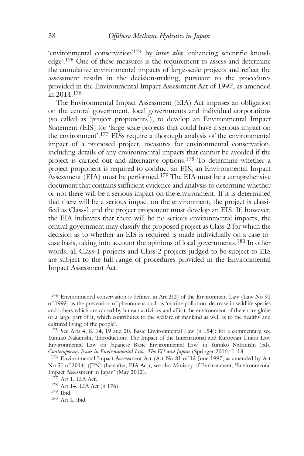'environmental conservation' <sup>174</sup> by *inter alia* 'enhancing scientific knowledge'.<sup>175</sup> One of these measures is the requirement to assess and determine the cumulative environmental impacts of large-scale projects and reflect the assessment results in the decision-making, pursuant to the procedures provided in the Environmental Impact Assessment Act of 1997, as amended in 2014. 176

The Environmental Impact Assessment (EIA) Act imposes an obligation on the central government, local governments and individual corporations (so called as 'project proponents'), to develop an Environmental Impact Statement (EIS) for 'large-scale projects that could have a serious impact on the environment'.<sup>177</sup> EISs require a thorough analysis of the environmental impact of a proposed project, measures for environmental conservation, including details of any environmental impacts that cannot be avoided if the project is carried out and alternative options.<sup>178</sup> To determine whether a project proponent is required to conduct an EIS, an Environmental Impact Assessment (EIA) must be performed.<sup>179</sup> The EIA must be a comprehensive document that contains sufficient evidence and analysis to determine whether or not there will be a serious impact on the environment. If it is determined that there will be a serious impact on the environment, the project is classified as Class-1 and the project proponent must develop an EIS. If, however, the EIA indicates that there will be no serious environmental impacts, the central government may classify the proposed project as Class-2 for which the decision as to whether an EIS is required is made individually on a case-tocase basis, taking into account the opinions of local governments. <sup>180</sup> In other words, all Class-1 projects and Class-2 projects judged to be subject to EIS are subject to the full range of procedures provided in the Environmental Impact Assessment Act.

<sup>174</sup> Environmental conservation is defined in Art 2(2) of the Environment Law (Law No 91 of 1993) as the prevention of phenomena such as 'marine pollution, decrease in wildlife species and others which are caused by human activities and affect the environment of the entire globe or a large part of it, which contributes to the welfare of mankind as well as to the healthy and cultured living of the people'.

<sup>175</sup> See Arts 4, 8, 14, 19 and 20, Basic Environmental Law (n 154); for a commentary, see Yumiko Nakanishi, 'Introduction: The Impact of the International and European Union Law Environmental Law on Japanese Basic Environmental Law' in Yumiko Nakanishi (ed), *Contemporary Issues in Environmental Law: The EU and Japan* (Springer 2016) 1–13.

<sup>176</sup> Environmental Impact Assessment Act (Act No 81 of 13 June 1997, as amended by Act No 51 of 2014) (JPN) (hereafter, EIA Act); see also Ministry of Environment, 'Environmental Impact Assessment in Japan' (May 2012).

 $177$  Art 1, EIA Act.

<sup>178</sup> Art 14, EIA Act (n 176).

<sup>179</sup> Ibid.

<sup>180</sup> Art 4, ibid.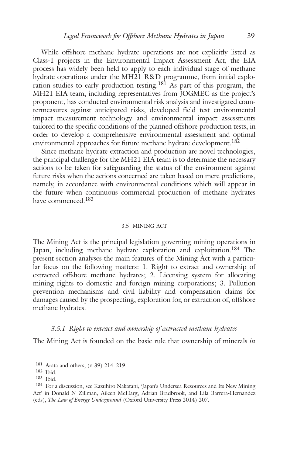While offshore methane hydrate operations are not explicitly listed as Class-1 projects in the Environmental Impact Assessment Act, the EIA process has widely been held to apply to each individual stage of methane hydrate operations under the MH21 R&D programme, from initial exploration studies to early production testing.<sup>181</sup> As part of this program, the MH21 EIA team, including representatives from JOGMEC as the project's proponent, has conducted environmental risk analysis and investigated countermeasures against anticipated risks, developed field test environmental impact measurement technology and environmental impact assessments tailored to the specific conditions of the planned offshore production tests, in order to develop a comprehensive environmental assessment and optimal environmental approaches for future methane hydrate development. 182

Since methane hydrate extraction and production are novel technologies, the principal challenge for the MH21 EIA team is to determine the necessary actions to be taken for safeguarding the status of the environment against future risks when the actions concerned are taken based on mere predictions, namely, in accordance with environmental conditions which will appear in the future when continuous commercial production of methane hydrates have commenced.<sup>183</sup>

#### 3.5 MINING ACT

The Mining Act is the principal legislation governing mining operations in Japan, including methane hydrate exploration and exploitation. <sup>184</sup> The present section analyses the main features of the Mining Act with a particular focus on the following matters: 1. Right to extract and ownership of extracted offshore methane hydrates; 2. Licensing system for allocating mining rights to domestic and foreign mining corporations; 3. Pollution prevention mechanisms and civil liability and compensation claims for damages caused by the prospecting, exploration for, or extraction of, offshore methane hydrates.

#### *3.5.1 Right to extract and ownership of extracted methane hydrates*

The Mining Act is founded on the basic rule that ownership of minerals *in*

<sup>181</sup> Arata and others, (n 39) 214–219.

<sup>182</sup> Ibid.

<sup>183</sup> Ibid.

<sup>184</sup> For a discussion, see Kazuhiro Nakatani, 'Japan's Undersea Resources and Its New Mining Act' in Donald N Zillman, Aileen McHarg, Adrian Bradbrook, and Lila Barrera-Hernandez (eds), *The Law of Energy Underground* (Oxford University Press 2014) 207.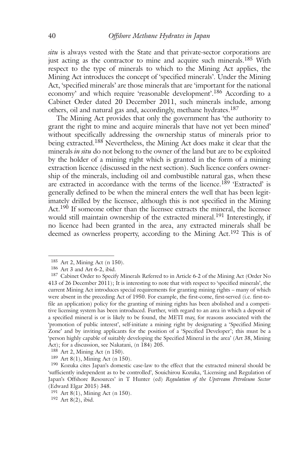*situ* is always vested with the State and that private-sector corporations are just acting as the contractor to mine and acquire such minerals.<sup>185</sup> With respect to the type of minerals to which to the Mining Act applies, the Mining Act introduces the concept of 'specified minerals'. Under the Mining Act, 'specified minerals' are those minerals that are 'important for the national economy' and which require 'reasonable development'.<sup>186</sup> According to a Cabinet Order dated 20 December 2011, such minerals include, among others, oil and natural gas and, accordingly, methane hydrates. 187

The Mining Act provides that only the government has 'the authority to grant the right to mine and acquire minerals that have not yet been mined' without specifically addressing the ownership status of minerals prior to being extracted. <sup>188</sup> Nevertheless, the Mining Act does make it clear that the minerals *in situ* do not belong to the owner of the land but are to be exploited by the holder of a mining right which is granted in the form of a mining extraction licence (discussed in the next section). Such licence confers ownership of the minerals, including oil and combustible natural gas, when these are extracted in accordance with the terms of the licence.<sup>189</sup> 'Extracted' is generally defined to be when the mineral enters the well that has been legitimately drilled by the licensee, although this is not specified in the Mining Act.<sup>190</sup> If someone other than the licensee extracts the mineral, the licensee would still maintain ownership of the extracted mineral. <sup>191</sup> Interestingly, if no licence had been granted in the area, any extracted minerals shall be deemed as ownerless property, according to the Mining Act.<sup>192</sup> This is of

<sup>185</sup> Art 2, Mining Act (n 150).

<sup>186</sup> Art 3 and Art 6-2, ibid.

<sup>187</sup> Cabinet Order to Specify Minerals Referred to in Article 6-2 of the Mining Act (Order No 413 of 26 December 2011); It is interesting to note that with respect to 'specified minerals', the current Mining Act introduces special requirements for granting mining rights – many of which were absent in the preceding Act of 1950. For example, the first-come, first-served (i.e. first-tofile an application) policy for the granting of mining rights has been abolished and a competitive licensing system has been introduced. Further, with regard to an area in which a deposit of a specified mineral is or is likely to be found, the METI may, for reasons associated with the 'promotion of public interest', self-initiate a mining right by designating a 'Specified Mining Zone' and by inviting applicants for the position of a 'Specified Developer'; this must be a 'person highly capable of suitably developing the Specified Mineral in the area' (Art 38, Mining Act); for a discussion, see Nakatani, (n 184) 205.

<sup>188</sup> Art 2, Mining Act (n 150).

<sup>189</sup> Art 8(1), Mining Act (n 150).

<sup>&</sup>lt;sup>190</sup> Kozuka cites Japan's domestic case-law to the effect that the extracted mineral should be 'sufficiently independent as to be controlled', Souichirou Kozuka, 'Licensing and Regulation of Japan's Offshore Resources' in T Hunter (ed) *Regulation of the Upstream Petroleum Sector* (Edward Elgar 2015) 348.

 $191$  Art 8(1), Mining Act (n 150).

<sup>192</sup> Art 8(2), ibid.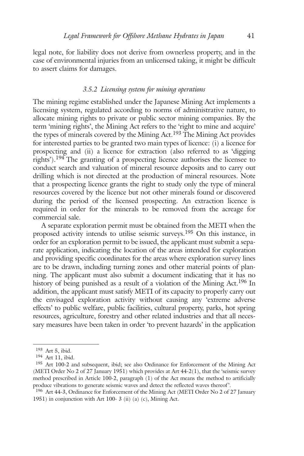legal note, for liability does not derive from ownerless property, and in the case of environmental injuries from an unlicensed taking, it might be difficult to assert claims for damages.

### *3.5.2 Licensing system for mining operations*

The mining regime established under the Japanese Mining Act implements a licensing system, regulated according to norms of administrative nature, to allocate mining rights to private or public sector mining companies. By the term 'mining rights', the Mining Act refers to the 'right to mine and acquire' the types of minerals covered by the Mining Act.<sup>193</sup> The Mining Act provides for interested parties to be granted two main types of licence: (i) a licence for prospecting and (ii) a licence for extraction (also referred to as 'digging rights').<sup>194</sup> The granting of a prospecting licence authorises the licensee to conduct search and valuation of mineral resource deposits and to carry out drilling which is not directed at the production of mineral resources. Note that a prospecting licence grants the right to study only the type of mineral resources covered by the licence but not other minerals found or discovered during the period of the licensed prospecting. An extraction licence is required in order for the minerals to be removed from the acreage for commercial sale.

A separate exploration permit must be obtained from the METI when the proposed activity intends to utilise seismic surveys. <sup>195</sup> On this instance, in order for an exploration permit to be issued, the applicant must submit a separate application, indicating the location of the areas intended for exploration and providing specific coordinates for the areas where exploration survey lines are to be drawn, including turning zones and other material points of planning. The applicant must also submit a document indicating that it has no history of being punished as a result of a violation of the Mining Act.<sup>196</sup> In addition, the applicant must satisfy METI of its capacity to properly carry out the envisaged exploration activity without causing any 'extreme adverse effects' to public welfare, public facilities, cultural property, parks, hot spring resources, agriculture, forestry and other related industries and that all necessary measures have been taken in order 'to prevent hazards' in the application

<sup>193</sup> Art 5, ibid.

<sup>194</sup> Art 11, ibid.

<sup>195</sup> Art 100-2 and subsequent, ibid; see also Ordinance for Enforcement of the Mining Act (METI Order No 2 of 27 January 1951) which provides at Art 44-2(1), that the 'seismic survey method prescribed in Article 100-2, paragraph (1) of the Act means the method to artificially produce vibrations to generate seismic waves and detect the reflected waves thereof '.

<sup>196</sup> Art 44-3, Ordinance for Enforcement of the Mining Act (METI Order No 2 of 27 January 1951) in conjunction with Art 100- 3 (ii) (a) (c), Mining Act.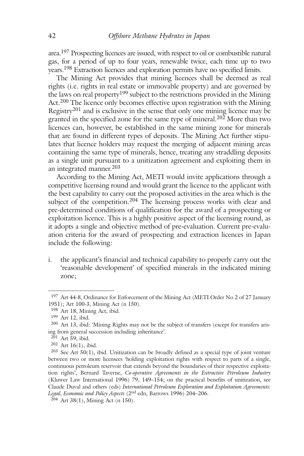area.<sup>197</sup> Prospecting licences are issued, with respect to oil or combustible natural gas, for a period of up to four years, renewable twice, each time up to two years.<sup>198</sup> Extraction licences and exploration permits have no specified limits.

The Mining Act provides that mining licences shall be deemed as real rights (i.e. rights in real estate or immovable property) and are governed by the laws on real property199 subject to the restrictions provided in the Mining Act.<sup>200</sup> The licence only becomes effective upon registration with the Mining Registry<sup>201</sup> and is exclusive in the sense that only one mining licence may be granted in the specified zone for the same type of mineral. <sup>202</sup> More than two licences can, however, be established in the same mining zone for minerals that are found in different types of deposits. The Mining Act further stipulates that licence holders may request the merging of adjacent mining areas containing the same type of minerals, hence, treating any straddling deposits as a single unit pursuant to a unitization agreement and exploiting them in an integrated manner. 203

According to the Mining Act, METI would invite applications through a competitive licensing round and would grant the licence to the applicant with the best capability to carry out the proposed activities in the area which is the subject of the competition.<sup>204</sup> The licensing process works with clear and pre-determined conditions of qualification for the award of a prospecting or exploitation licence. This is a highly positive aspect of the licensing round, as it adopts a single and objective method of pre-evaluation. Current pre-evaluation criteria for the award of prospecting and extraction licences in Japan include the following:

i. the applicant's financial and technical capability to properly carry out the 'reasonable development' of specified minerals in the indicated mining zone;

<sup>&</sup>lt;sup>197</sup> Art 44-8, Ordinance for Enforcement of the Mining Act (METI Order No 2 of 27 January 1951); Art 100-3, Mining Act (n 150).

<sup>198</sup> Art 18, Mining Act, ibid.

<sup>199</sup> Art 12, ibid.

<sup>200</sup> Art 13, ibid: 'Mining Rights may not be the subject of transfers (except for transfers arising from general succession including inheritance'.

<sup>201</sup> Art 59, ibid.

<sup>202</sup> Art 16(1), ibid.

 $203$  See Art  $50(1)$ , ibid. Unitization can be broadly defined as a special type of joint venture between two or more licensees 'holding exploitation rights with respect to parts of a single, continuous petroleum reservoir that extends beyond the boundaries of their respective exploitation rights', Bernard Taverne, *Co-operative Agreements in the Extractive Petroleum Industry* (Kluwer Law International 1996) 79, 149–154; on the practical benefits of unitization, see Claude Duval and others (eds) *International Petroleum Exploration and Exploitation Agreements: Legal, Economic and Policy Aspects* (2nd edn, Barrows 1996) 204–206.

 $204$  Art 38(1), Mining Act (n 150).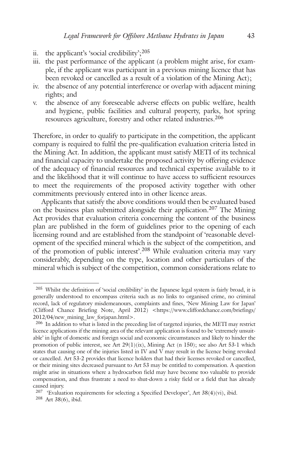- ii. the applicant's 'social credibility';  $205$
- iii. the past performance of the applicant (a problem might arise, for example, if the applicant was participant in a previous mining licence that has been revoked or cancelled as a result of a violation of the Mining Act);
- iv. the absence of any potential interference or overlap with adjacent mining rights; and
- v. the absence of any foreseeable adverse effects on public welfare, health and hygiene, public facilities and cultural property, parks, hot spring resources agriculture, forestry and other related industries. 206

Therefore, in order to qualify to participate in the competition, the applicant company is required to fulfil the pre-qualification evaluation criteria listed in the Mining Act. In addition, the applicant must satisfy METI of its technical and financial capacity to undertake the proposed activity by offering evidence of the adequacy of financial resources and technical expertise available to it and the likelihood that it will continue to have access to sufficient resources to meet the requirements of the proposed activity together with other commitments previously entered into in other licence areas.

Applicants that satisfy the above conditions would then be evaluated based on the business plan submitted alongside their application. <sup>207</sup> The Mining Act provides that evaluation criteria concerning the content of the business plan are published in the form of guidelines prior to the opening of each licensing round and are established from the standpoint of 'reasonable development of the specified mineral which is the subject of the competition, and of the promotion of public interest'. <sup>208</sup> While evaluation criteria may vary considerably, depending on the type, location and other particulars of the mineral which is subject of the competition, common considerations relate to

<sup>205</sup> Whilst the definition of 'social credibility' in the Japanese legal system is fairly broad, it is generally understood to encompass criteria such as no links to organised crime, no criminal record, lack of regulatory misdemeanours, complaints and fines, 'New Mining Law for Japan' (Clifford Chance Briefing Note, April 2012) <https://www.cliffordchance.com/briefings/ 2012/04/new\_mining\_law\_forjapan.html>.

<sup>206</sup> In addition to what is listed in the preceding list of targeted injuries, the METI may restrict licence applications if the mining area of the relevant application is found to be 'extremely unsuitable' in light of domestic and foreign social and economic circumstances and likely to hinder the promotion of public interest, see Art  $29(1)(ix)$ , Mining Act (n 150); see also Art 53-1 which states that causing one of the injuries listed in IV and V may result in the licence being revoked or cancelled. Art 53-2 provides that licence holders that had their licenses revoked or cancelled, or their mining sites decreased pursuant to Art 53 may be entitled to compensation. A question might arise in situations where a hydrocarbon field may have become too valuable to provide compensation, and thus frustrate a need to shut-down a risky field or a field that has already caused injury.

<sup>&</sup>lt;sup>207</sup> 'Evaluation requirements for selecting a Specified Developer', Art  $38(4)(vi)$ , ibid. <sup>208</sup> Art 38(6), ibid.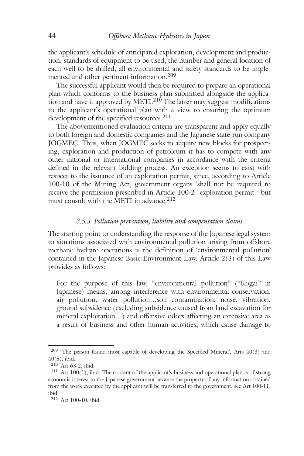the applicant's schedule of anticipated exploration, development and production, standards of equipment to be used, the number and general location of each well to be drilled, all environmental and safety standards to be implemented and other pertinent information. 209

The successful applicant would then be required to prepare an operational plan which conforms to the business plan submitted alongside the application and have it approved by METI.<sup>210</sup> The latter may suggest modifications to the applicant's operational plan with a view to ensuring the optimum development of the specified resources. 211

The abovementioned evaluation criteria are transparent and apply equally to both foreign and domestic companies and the Japanese state-run company JOGMEC. Thus, when JOGMEC seeks to acquire new blocks for prospecting, exploration and production of petroleum it has to compete with any other national or international companies in accordance with the criteria defined in the relevant bidding process. An exception seems to exist with respect to the issuance of an exploration permit, since, according to Article 100-10 of the Mining Act, government organs 'shall not be required to receive the permission prescribed in Article 100-2 [exploration permit]' but must consult with the METI in advance. 212

#### *3.5.3 Pollution prevention, liability and compensation claims*

The starting point to understanding the response of the Japanese legal system to situations associated with environmental pollution arising from offshore methane hydrate operations is the definition of 'environmental pollution' contained in the Japanese Basic Environment Law. Article 2(3) of this Law provides as follows:

For the purpose of this law, "environmental pollution" ("Kogai" in Japanese) means, among interference with environmental conservation, air pollution, water pollution…soil contamination, noise, vibration, ground subsidence (excluding subsidence caused from land excavation for mineral exploitation…) and offensive odors affecting an extensive area as a result of business and other human activities, which cause damage to

<sup>&</sup>lt;sup>209</sup> 'The person found most capable of developing the Specified Mineral', Arts 40(3) and 40(5), ibid.

<sup>210</sup> Art 63-2, ibid.

<sup>211</sup> Art 100(1), ibid; The content of the applicant's business and operational plan is of strong economic interest to the Japanese government because the property of any information obtained from the work executed by the applicant will be transferred to the government, see Art 100-11, ibid.

<sup>212</sup> Art 100-10, ibid.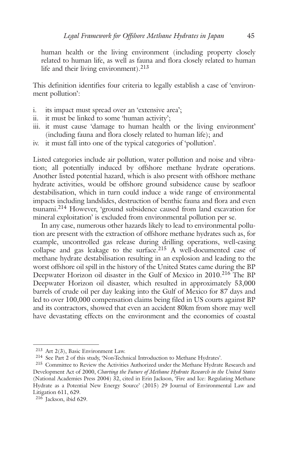human health or the living environment (including property closely related to human life, as well as fauna and flora closely related to human life and their living environment). 213

This definition identifies four criteria to legally establish a case of 'environment pollution':

- i. its impact must spread over an 'extensive area';
- ii. it must be linked to some 'human activity';
- iii. it must cause 'damage to human health or the living environment' (including fauna and flora closely related to human life); and
- iv. it must fall into one of the typical categories of 'pollution'.

Listed categories include air pollution, water pollution and noise and vibration; all potentially induced by offshore methane hydrate operations. Another listed potential hazard, which is also present with offshore methane hydrate activities, would be offshore ground subsidence cause by seafloor destabilisation, which in turn could induce a wide range of environmental impacts including landslides, destruction of benthic fauna and flora and even tsunami. <sup>214</sup> However, 'ground subsidence caused from land excavation for mineral exploitation' is excluded from environmental pollution per se.

In any case, numerous other hazards likely to lead to environmental pollution are present with the extraction of offshore methane hydrates such as, for example, uncontrolled gas release during drilling operations, well-casing collapse and gas leakage to the surface. <sup>215</sup> A well-documented case of methane hydrate destabilisation resulting in an explosion and leading to the worst offshore oil spill in the history of the United States came during the BP Deepwater Horizon oil disaster in the Gulf of Mexico in 2010. <sup>216</sup> The BP Deepwater Horizon oil disaster, which resulted in approximately 53,000 barrels of crude oil per day leaking into the Gulf of Mexico for 87 days and led to over 100,000 compensation claims being filed in US courts against BP and its contractors, showed that even an accident 80km from shore may well have devastating effects on the environment and the economies of coastal

<sup>213</sup> Art 2(3), Basic Environment Law.

<sup>214</sup> See Part 2 of this study, 'Non-Technical Introduction to Methane Hydrates'.

<sup>215</sup> Committee to Review the Activities Authorized under the Methane Hydrate Research and Development Act of 2000, *Charting the Future of Methane Hydrate Research in the United States* (National Academies Press 2004) 32, cited in Erin Jackson, 'Fire and Ice: Regulating Methane Hydrate as a Potential New Energy Source' (2015) 29 Journal of Environmental Law and Litigation 611, 629.

<sup>216</sup> Jackson, ibid 629.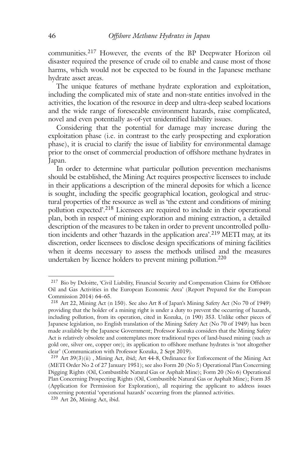communities.<sup>217</sup> However, the events of the BP Deepwater Horizon oil disaster required the presence of crude oil to enable and cause most of those harms, which would not be expected to be found in the Japanese methane hydrate asset areas.

The unique features of methane hydrate exploration and exploitation, including the complicated mix of state and non-state entities involved in the activities, the location of the resource in deep and ultra-deep seabed locations and the wide range of foreseeable environment hazards, raise complicated, novel and even potentially as-of-yet unidentified liability issues.

Considering that the potential for damage may increase during the exploitation phase (i.e. in contrast to the early prospecting and exploration phase), it is crucial to clarify the issue of liability for environmental damage prior to the onset of commercial production of offshore methane hydrates in Japan.

In order to determine what particular pollution prevention mechanisms should be established, the Mining Act requires prospective licensees to include in their applications a description of the mineral deposits for which a licence is sought, including the specific geographical location, geological and structural properties of the resource as well as 'the extent and conditions of mining pollution expected'. <sup>218</sup> Licensees are required to include in their operational plan, both in respect of mining exploration and mining extraction, a detailed description of the measures to be taken in order to prevent uncontrolled pollution incidents and other 'hazards in the application area'. <sup>219</sup> METI may, at its discretion, order licensees to disclose design specifications of mining facilities when it deems necessary to assess the methods utilised and the measures undertaken by licence holders to prevent mining pollution. 220

<sup>217</sup> Bio by Deloitte, 'Civil Liability, Financial Security and Compensation Claims for Offshore Oil and Gas Activities in the European Economic Area' (Report Prepared for the European Commission 2014) 64–65.

<sup>218</sup> Art 22, Mining Act (n 150). See also Art 8 of Japan's Mining Safety Act (No 70 of 1949) providing that the holder of a mining right is under a duty to prevent the occurring of hazards, including pollution, from its operation, cited in Kozuka, (n 190) 353. Unlike other pieces of Japanese legislation, no English translation of the Mining Safety Act (No 70 of 1949) has been made available by the Japanese Government; Professor Kozuka considers that the Mining Safety Act is relatively obsolete and contemplates more traditional types of land-based mining (such as gold ore, silver ore, copper ore); its application to offshore methane hydrates is 'not altogether clear' (Communication with Professor Kozuka, 2 Sept 2019).

<sup>219</sup> Art 39(3)(ii) , Mining Act, ibid; Art 44-8, Ordinance for Enforcement of the Mining Act (METI Order No 2 of 27 January 1951); see also Form 20 (No 5) Operational Plan Concerning Digging Rights (Oil, Combustible Natural Gas or Asphalt Mine); Form 20 (No 6) Operational Plan Concerning Prospecting Rights (Oil, Combustible Natural Gas or Asphalt Mine); Form 35 (Application for Permission for Exploration), all requiring the applicant to address issues concerning potential 'operational hazards' occurring from the planned activities.

<sup>220</sup> Art 26, Mining Act, ibid.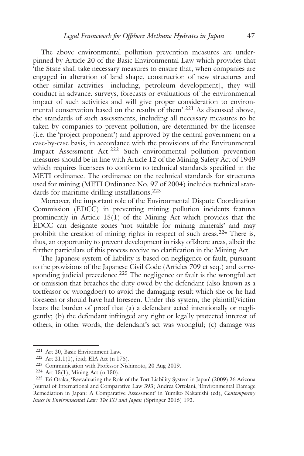The above environmental pollution prevention measures are underpinned by Article 20 of the Basic Environmental Law which provides that 'the State shall take necessary measures to ensure that, when companies are engaged in alteration of land shape, construction of new structures and other similar activities [including, petroleum development], they will conduct in advance, surveys, forecasts or evaluations of the environmental impact of such activities and will give proper consideration to environmental conservation based on the results of them'. <sup>221</sup> As discussed above, the standards of such assessments, including all necessary measures to be taken by companies to prevent pollution, are determined by the licensee (i.e. the 'project proponent') and approved by the central government on a case-by-case basis, in accordance with the provisions of the Environmental Impact Assessment Act. <sup>222</sup> Such environmental pollution prevention measures should be in line with Article 12 of the Mining Safety Act of 1949 which requires licensees to conform to technical standards specified in the METI ordinance. The ordinance on the technical standards for structures used for mining (METI Ordinance No. 97 of 2004) includes technical standards for maritime drilling installations. 223

Moreover, the important role of the Environmental Dispute Coordination Commission (EDCC) in preventing mining pollution incidents features prominently in Article  $15(1)$  of the Mining Act which provides that the EDCC can designate zones 'not suitable for mining minerals' and may prohibit the creation of mining rights in respect of such areas. <sup>224</sup> There is, thus, an opportunity to prevent development in risky offshore areas, albeit the further particulars of this process receive no clarification in the Mining Act.

The Japanese system of liability is based on negligence or fault, pursuant to the provisions of the Japanese Civil Code (Articles 709 et seq.) and corresponding judicial precedence. <sup>225</sup> The negligence or fault is the wrongful act or omission that breaches the duty owed by the defendant (also known as a tortfeasor or wrongdoer) to avoid the damaging result which she or he had foreseen or should have had foreseen. Under this system, the plaintiff/victim bears the burden of proof that (a) a defendant acted intentionally or negligently; (b) the defendant infringed any right or legally protected interest of others, in other words, the defendant's act was wrongful; (c) damage was

<sup>221</sup> Art 20, Basic Environment Law.

<sup>222</sup> Art 21.1(1), ibid; EIA Act (n 176).

<sup>223</sup> Communication with Professor Nishimoto, 20 Aug 2019.

<sup>224</sup> Art 15(1), Mining Act (n 150).

<sup>225</sup> Eri Osaka, 'Reevaluating the Role of the Tort Liability System in Japan' (2009) 26 Arizona Journal of International and Comparative Law 393; Andrea Ortolani, 'Environmental Damage Remediation in Japan: A Comparative Assessment' in Yumiko Nakanishi (ed), *Contemporary Issues in Environmental Law: The EU and Japan* (Springer 2016) 192.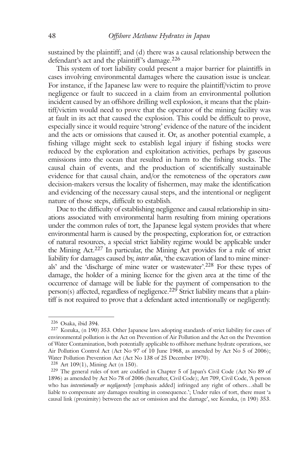sustained by the plaintiff; and (d) there was a causal relationship between the defendant's act and the plaintiff 's damage. 226

This system of tort liability could present a major barrier for plaintiffs in cases involving environmental damages where the causation issue is unclear. For instance, if the Japanese law were to require the plaintiff/victim to prove negligence or fault to succeed in a claim from an environmental pollution incident caused by an offshore drilling well explosion, it means that the plaintiff/victim would need to prove that the operator of the mining facility was at fault in its act that caused the explosion. This could be difficult to prove, especially since it would require 'strong' evidence of the nature of the incident and the acts or omissions that caused it. Or, as another potential example, a fishing village might seek to establish legal injury if fishing stocks were reduced by the exploration and exploitation activities, perhaps by gaseous emissions into the ocean that resulted in harm to the fishing stocks. The causal chain of events, and the production of scientifically sustainable evidence for that causal chain, and/or the remoteness of the operators *cum* decision-makers versus the locality of fishermen, may make the identification and evidencing of the necessary causal steps, and the intentional or negligent nature of those steps, difficult to establish.

Due to the difficulty of establishing negligence and causal relationship in situations associated with environmental harm resulting from mining operations under the common rules of tort, the Japanese legal system provides that where environmental harm is caused by the prospecting, exploration for, or extraction of natural resources, a special strict liability regime would be applicable under the Mining Act. <sup>227</sup> In particular, the Mining Act provides for a rule of strict liability for damages caused by, *inter alia*, 'the excavation of land to mine minerals' and the 'discharge of mine water or wastewater'. <sup>228</sup> For these types of damage, the holder of a mining licence for the given area at the time of the occurrence of damage will be liable for the payment of compensation to the person(s) affected, regardless of negligence.<sup>229</sup> Strict liability means that a plaintiff is not required to prove that a defendant acted intentionally or negligently.

<sup>226</sup> Osaka, ibid 394.

<sup>227</sup> Kozuka, (n 190) 353. Other Japanese laws adopting standards of strict liability for cases of environmental pollution is the Act on Prevention of Air Pollution and the Act on the Prevention of Water Contamination, both potentially applicable to offshore methane hydrate operations, see Air Pollution Control Act (Act No 97 of 10 June 1968, as amended by Act No 5 of 2006); Water Pollution Prevention Act (Act No 138 of 25 December 1970).

<sup>228</sup> Art 109(1), Mining Act (n 150).

<sup>229</sup> The general rules of tort are codified in Chapter 5 of Japan's Civil Code (Act No 89 of 1896) as amended by Act No 78 of 2006 (hereafter, Civil Code); Art 709, Civil Code, 'A person who has *intentionally or negligently* [emphasis added] infringed any right of others…shall be liable to compensate any damages resulting in consequence.'; Under rules of tort, there must 'a causal link (proximity) between the act or omission and the damage', see Kozuka, (n 190) 353.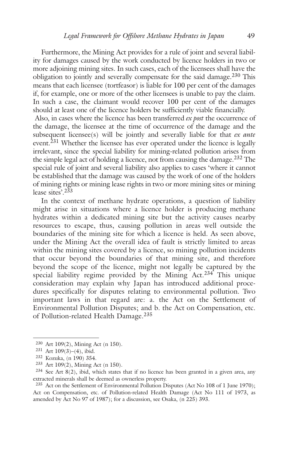Furthermore, the Mining Act provides for a rule of joint and several liability for damages caused by the work conducted by licence holders in two or more adjoining mining sites. In such cases, each of the licensees shall have the obligation to jointly and severally compensate for the said damage. <sup>230</sup> This means that each licensee (tortfeasor) is liable for 100 per cent of the damages if, for example, one or more of the other licensees is unable to pay the claim. In such a case, the claimant would recover 100 per cent of the damages should at least one of the licence holders be sufficiently viable financially.

Also, in cases where the licence has been transferred *ex post* the occurrence of the damage, the licensee at the time of occurrence of the damage and the subsequent licensee(s) will be jointly and severally liable for that *ex ante* event.<sup>231</sup> Whether the licensee has ever operated under the licence is legally irrelevant, since the special liability for mining-related pollution arises from the simple legal act of holding a licence, not from causing the damage. <sup>232</sup> The special rule of joint and several liability also applies to cases 'where it cannot be established that the damage was caused by the work of one of the holders of mining rights or mining lease rights in two or more mining sites or mining lease sites'. 233

In the context of methane hydrate operations, a question of liability might arise in situations where a licence holder is producing methane hydrates within a dedicated mining site but the activity causes nearby resources to escape, thus, causing pollution in areas well outside the boundaries of the mining site for which a licence is held. As seen above, under the Mining Act the overall idea of fault is strictly limited to areas within the mining sites covered by a licence, so mining pollution incidents that occur beyond the boundaries of that mining site, and therefore beyond the scope of the licence, might not legally be captured by the special liability regime provided by the Mining Act. <sup>234</sup> This unique consideration may explain why Japan has introduced additional procedures specifically for disputes relating to environmental pollution. Two important laws in that regard are: a. the Act on the Settlement of Environmental Pollution Disputes; and b. the Act on Compensation, etc. of Pollution-related Health Damage. 235

<sup>230</sup> Art 109(2), Mining Act (n 150).

<sup>231</sup> Art 109(3)–(4), ibid.

<sup>232</sup> Kozuka, (n 190) 354.

<sup>233</sup> Art 109(2), Mining Act (n 150).

 $234$  See Art 8(2), ibid, which states that if no licence has been granted in a given area, any extracted minerals shall be deemed as ownerless property.

<sup>235</sup> Act on the Settlement of Environmental Pollution Disputes (Act No 108 of 1 June 1970); Act on Compensation, etc. of Pollution-related Health Damage (Act No 111 of 1973, as amended by Act No 97 of 1987); for a discussion, see Osaka, (n 225) 393.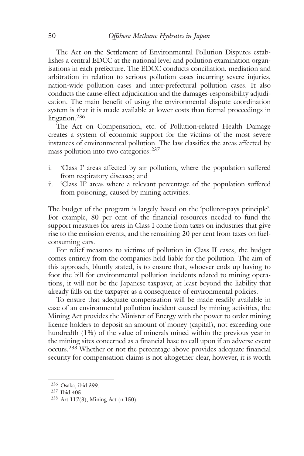The Act on the Settlement of Environmental Pollution Disputes establishes a central EDCC at the national level and pollution examination organisations in each prefecture. The EDCC conducts conciliation, mediation and arbitration in relation to serious pollution cases incurring severe injuries, nation-wide pollution cases and inter-prefectural pollution cases. It also conducts the cause-effect adjudication and the damages-responsibility adjudication. The main benefit of using the environmental dispute coordination system is that it is made available at lower costs than formal proceedings in litigation. 236

The Act on Compensation, etc. of Pollution-related Health Damage creates a system of economic support for the victims of the most severe instances of environmental pollution. The law classifies the areas affected by mass pollution into two categories:<sup>237</sup>

- i. 'Class I' areas affected by air pollution, where the population suffered from respiratory diseases; and
- ii. 'Class II' areas where a relevant percentage of the population suffered from poisoning, caused by mining activities.

The budget of the program is largely based on the 'polluter-pays principle'. For example, 80 per cent of the financial resources needed to fund the support measures for areas in Class I come from taxes on industries that give rise to the emission events, and the remaining 20 per cent from taxes on fuelconsuming cars.

For relief measures to victims of pollution in Class II cases, the budget comes entirely from the companies held liable for the pollution. The aim of this approach, bluntly stated, is to ensure that, whoever ends up having to foot the bill for environmental pollution incidents related to mining operations, it will not be the Japanese taxpayer, at least beyond the liability that already falls on the taxpayer as a consequence of environmental policies.

To ensure that adequate compensation will be made readily available in case of an environmental pollution incident caused by mining activities, the Mining Act provides the Minister of Energy with the power to order mining licence holders to deposit an amount of money (capital), not exceeding one hundredth (1%) of the value of minerals mined within the previous year in the mining sites concerned as a financial base to call upon if an adverse event occurs.<sup>238</sup> Whether or not the percentage above provides adequate financial security for compensation claims is not altogether clear, however, it is worth

<sup>236</sup> Osaka, ibid 399.

<sup>237</sup> Ibid 405.

<sup>238</sup> Art 117(3), Mining Act (n 150).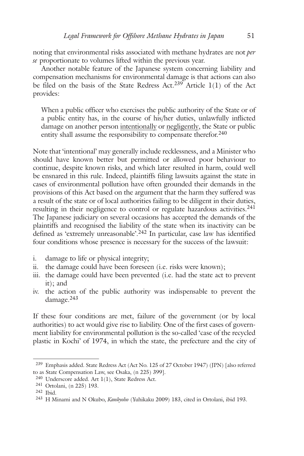noting that environmental risks associated with methane hydrates are not *per se* proportionate to volumes lifted within the previous year.

Another notable feature of the Japanese system concerning liability and compensation mechanisms for environmental damage is that actions can also be filed on the basis of the State Redress Act.<sup>239</sup> Article  $1(1)$  of the Act provides:

When a public officer who exercises the public authority of the State or of a public entity has, in the course of his/her duties, unlawfully inflicted damage on another person intentionally or negligently, the State or public entity shall assume the responsibility to compensate therefor. 240

Note that 'intentional' may generally include recklessness, and a Minister who should have known better but permitted or allowed poor behaviour to continue, despite known risks, and which later resulted in harm, could well be ensnared in this rule. Indeed, plaintiffs filing lawsuits against the state in cases of environmental pollution have often grounded their demands in the provisions of this Act based on the argument that the harm they suffered was a result of the state or of local authorities failing to be diligent in their duties, resulting in their negligence to control or regulate hazardous activities.<sup>241</sup> The Japanese judiciary on several occasions has accepted the demands of the plaintiffs and recognised the liability of the state when its inactivity can be defined as 'extremely unreasonable'. <sup>242</sup> In particular, case law has identified four conditions whose presence is necessary for the success of the lawsuit:

- i. damage to life or physical integrity;
- ii. the damage could have been foreseen (i.e. risks were known);
- iii. the damage could have been prevented (i.e. had the state act to prevent it); and
- iv. the action of the public authority was indispensable to prevent the damage. 243

If these four conditions are met, failure of the government (or by local authorities) to act would give rise to liability. One of the first cases of government liability for environmental pollution is the so-called 'case of the recycled plastic in Kochi' of 1974, in which the state, the prefecture and the city of

<sup>239</sup> Emphasis added. State Redress Act (Act No. 125 of 27 October 1947) (JPN) [also referred to as State Compensation Law, see Osaka, (n 225) 399].

<sup>240</sup> Underscore added. Art 1(1), State Redress Act.

<sup>241</sup> Ortolani, (n 225) 193.

<sup>242</sup> Ibid.

<sup>243</sup> H Minami and N Okubo, *Kankyoho* (Yuhikaku 2009) 183, cited in Ortolani, ibid 193.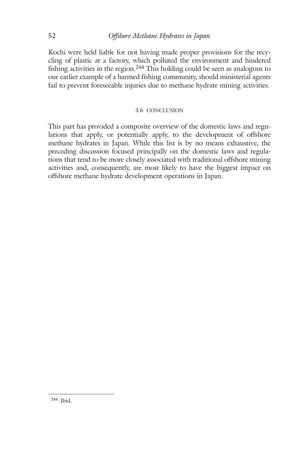## 52 *Offshore Methane Hydrates in Japan*

Kochi were held liable for not having made proper provisions for the recycling of plastic at a factory, which polluted the environment and hindered fishing activities in the region. <sup>244</sup> This holding could be seen as analogous to our earlier example of a harmed fishing community, should ministerial agents fail to prevent foreseeable injuries due to methane hydrate mining activities.

#### 3.6 CONCLUSION

This part has provided a composite overview of the domestic laws and regulations that apply, or potentially apply, to the development of offshore methane hydrates in Japan. While this list is by no means exhaustive, the preceding discussion focused principally on the domestic laws and regulations that tend to be more closely associated with traditional offshore mining activities and, consequently, are most likely to have the biggest impact on offshore methane hydrate development operations in Japan.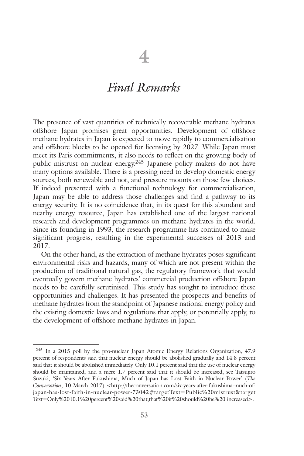# *Final Remarks*

The presence of vast quantities of technically recoverable methane hydrates offshore Japan promises great opportunities. Development of offshore methane hydrates in Japan is expected to move rapidly to commercialisation and offshore blocks to be opened for licensing by 2027. While Japan must meet its Paris commitments, it also needs to reflect on the growing body of public mistrust on nuclear energy. <sup>245</sup> Japanese policy makers do not have many options available. There is a pressing need to develop domestic energy sources, both renewable and not, and pressure mounts on those few choices. If indeed presented with a functional technology for commercialisation, Japan may be able to address those challenges and find a pathway to its energy security. It is no coincidence that, in its quest for this abundant and nearby energy resource, Japan has established one of the largest national research and development programmes on methane hydrates in the world. Since its founding in 1993, the research programme has continued to make significant progress, resulting in the experimental successes of 2013 and 2017.

On the other hand, as the extraction of methane hydrates poses significant environmental risks and hazards, many of which are not present within the production of traditional natural gas, the regulatory framework that would eventually govern methane hydrates' commercial production offshore Japan needs to be carefully scrutinised. This study has sought to introduce these opportunities and challenges. It has presented the prospects and benefits of methane hydrates from the standpoint of Japanese national energy policy and the existing domestic laws and regulations that apply, or potentially apply, to the development of offshore methane hydrates in Japan.

<sup>245</sup> In a 2015 poll by the pro-nuclear Japan Atomic Energy Relations Organization, 47.9 percent of respondents said that nuclear energy should be abolished gradually and 14.8 percent said that it should be abolished immediately. Only 10.1 percent said that the use of nuclear energy should be maintained, and a mere 1.7 percent said that it should be increased, see Tatsujiro Suzuki, 'Six Years After Fukushima, Much of Japan has Lost Faith in Nuclear Power' (*The Conversation*, 10 March 2017) <http://theconversation.com/six-years-after-fukushima-much-ofjapan-has-lost-faith-in-nuclear-power-73042#targetText=Public%20mistrust&target Text=Only%2010.1%20percent%20said%20that,that%20it%20should%20be%20 increased>.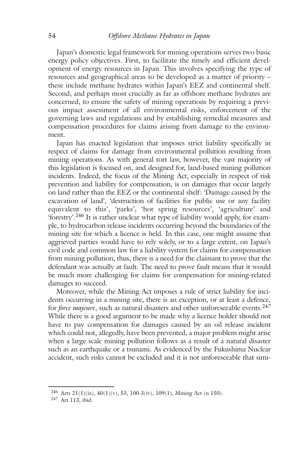Japan's domestic legal framework for mining operations serves two basic energy policy objectives. First, to facilitate the timely and efficient development of energy resources in Japan. This involves specifying the type of resources and geographical areas to be developed as a matter of priority – these include methane hydrates within Japan's EEZ and continental shelf. Second, and perhaps most crucially as far as offshore methane hydrates are concerned, to ensure the safety of mining operations by requiring a previous impact assessment of all environmental risks, enforcement of the governing laws and regulations and by establishing remedial measures and compensation procedures for claims arising from damage to the environment.

Japan has enacted legislation that imposes strict liability specifically in respect of claims for damage from environmental pollution resulting from mining operations. As with general tort law, however, the vast majority of this legislation is focused on, and designed for, land-based mining pollution incidents. Indeed, the focus of the Mining Act, especially in respect of risk prevention and liability for compensation, is on damages that occur largely on land rather than the EEZ or the continental shelf: 'Damage caused by the excavation of land', 'destruction of facilities for public use or any facility equivalent to this', 'parks', 'hot spring resources', 'agriculture' and 'forestry'. <sup>246</sup> It is rather unclear what type of liability would apply, for example, to hydrocarbon release incidents occurring beyond the boundaries of the mining site for which a licence is held. In this case, one might assume that aggrieved parties would have to rely solely, or to a large extent, on Japan's civil code and common law for a liability system for claims for compensation from mining pollution, thus, there is a need for the claimant to prove that the defendant was actually at fault. The need to prove fault means that it would be much more challenging for claims for compensation for mining-related damages to succeed.

Moreover, while the Mining Act imposes a rule of strict liability for incidents occurring in a mining site, there is an exception, or at least a defence, for *force majeure*, such as natural disasters and other unforeseeable events. 247 While there is a good argument to be made why a licence holder should not have to pay compensation for damages caused by an oil release incident which could not, allegedly, have been prevented, a major problem might arise when a large scale mining pollution follows as a result of a natural disaster such as an earthquake or a tsunami. As evidenced by the Fukushima Nuclear accident, such risks cannot be excluded and it is not unforeseeable that simi-

<sup>246</sup> Arts 21(1)(ix), 40(1)(v), 53, 100-3(iv), 109(1), Mining Act (n 150).

<sup>247</sup> Art 113, ibid.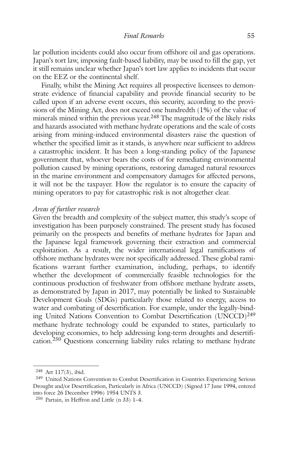lar pollution incidents could also occur from offshore oil and gas operations. Japan's tort law, imposing fault-based liability, may be used to fill the gap, yet it still remains unclear whether Japan's tort law applies to incidents that occur on the EEZ or the continental shelf.

Finally, whilst the Mining Act requires all prospective licensees to demonstrate evidence of financial capability and provide financial security to be called upon if an adverse event occurs, this security, according to the provisions of the Mining Act, does not exceed one hundredth (1%) of the value of minerals mined within the previous year. <sup>248</sup> The magnitude of the likely risks and hazards associated with methane hydrate operations and the scale of costs arising from mining-induced environmental disasters raise the question of whether the specified limit as it stands, is anywhere near sufficient to address a catastrophic incident. It has been a long-standing policy of the Japanese government that, whoever bears the costs of for remediating environmental pollution caused by mining operations, restoring damaged natural resources in the marine environment and compensatory damages for affected persons, it will not be the taxpayer. How the regulator is to ensure the capacity of mining operators to pay for catastrophic risk is not altogether clear.

#### *Areas of further research*

Given the breadth and complexity of the subject matter, this study's scope of investigation has been purposely constrained. The present study has focused primarily on the prospects and benefits of methane hydrates for Japan and the Japanese legal framework governing their extraction and commercial exploitation. As a result, the wider international legal ramifications of offshore methane hydrates were not specifically addressed. These global ramifications warrant further examination, including, perhaps, to identify whether the development of commercially feasible technologies for the continuous production of freshwater from offshore methane hydrate assets, as demonstrated by Japan in 2017, may potentially be linked to Sustainable Development Goals (SDGs) particularly those related to energy, access to water and combating of desertification. For example, under the legally-binding United Nations Convention to Combat Desertification (UNCCD)<sup>249</sup> methane hydrate technology could be expanded to states, particularly to developing economies, to help addressing long-term droughts and desertification.<sup>250</sup> Questions concerning liability rules relating to methane hydrate

<sup>248</sup> Art 117(3), ibid.

<sup>249</sup> United Nations Convention to Combat Desertification in Countries Experiencing Serious Drought and/or Desertification, Particularly in Africa (UNCCD) (Signed 17 June 1994, entered into force 26 December 1996) 1954 UNTS 3.

<sup>250</sup> Partain, in Heffron and Little (n 33) 1–4.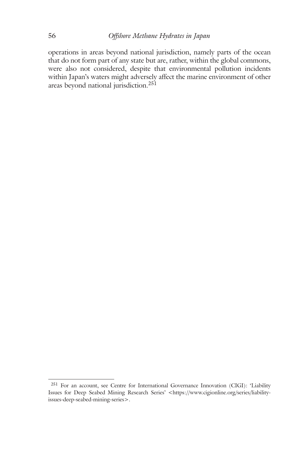operations in areas beyond national jurisdiction, namely parts of the ocean that do not form part of any state but are, rather, within the global commons, were also not considered, despite that environmental pollution incidents within Japan's waters might adversely affect the marine environment of other areas beyond national jurisdiction. 251

<sup>251</sup> For an account, see Centre for International Governance Innovation (CIGI): 'Liability Issues for Deep Seabed Mining Research Series' <https://www.cigionline.org/series/liabilityissues-deep-seabed-mining-series>.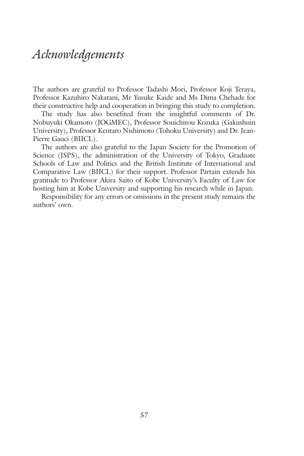# *Acknowledgements*

The authors are grateful to Professor Tadashi Mori, Professor Koji Teraya, Professor Kazuhiro Nakatani, Mr Yusuke Kaide and Ms Dima Chehade for their constructive help and cooperation in bringing this study to completion.

The study has also benefited from the insightful comments of Dr. Nobuyuki Okamoto (JOGMEC), Professor Souichirou Kozuka (Gakushuin University), Professor Kentaro Nishimoto (Tohoku University) and Dr. Jean-Pierre Gauci (BIICL).

The authors are also grateful to the Japan Society for the Promotion of Science (JSPS), the administration of the University of Tokyo, Graduate Schools of Law and Politics and the British Institute of International and Comparative Law (BIICL) for their support. Professor Partain extends his gratitude to Professor Akira Saito of Kobe University's Faculty of Law for hosting him at Kobe University and supporting his research while in Japan.

Responsibility for any errors or omissions in the present study remains the authors' own.